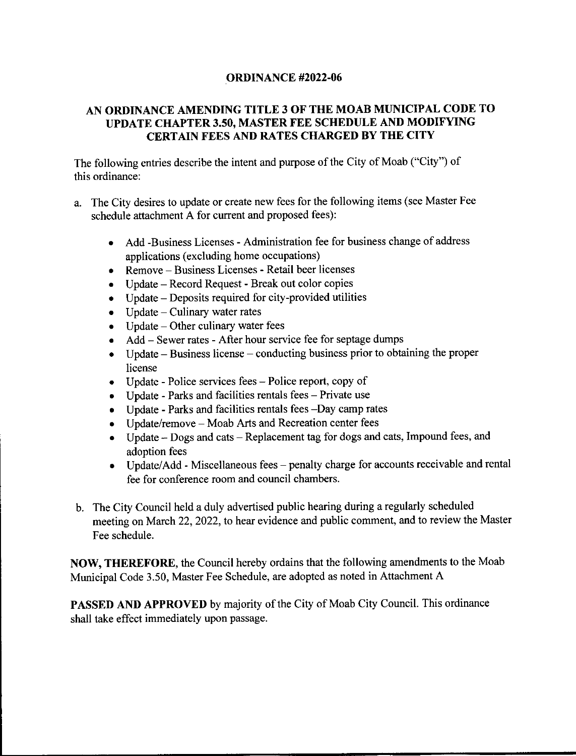#### **ORDINANCE #2022-06**

#### AN ORDINANCE AMENDING TITLE 3 OF THE MOAB MUNICIPAL CODE TO UPDATE CHAPTER 3.50, MASTER FEE SCHEDULE AND MODIFYING **CERTAIN FEES AND RATES CHARGED BY THE CITY**

The following entries describe the intent and purpose of the City of Moab ("City") of this ordinance:

- a. The City desires to update or create new fees for the following items (see Master Fee schedule attachment A for current and proposed fees):
	- Add -Business Licenses Administration fee for business change of address applications (excluding home occupations)
	- Remove Business Licenses Retail beer licenses
	- Update Record Request Break out color copies
	- Update Deposits required for city-provided utilities
	- $\bullet$  Update Culinary water rates
	- Update Other culinary water fees
	- Add Sewer rates After hour service fee for septage dumps
	- Update Business license conducting business prior to obtaining the proper license
	- Update Police services fees Police report, copy of
	- Update Parks and facilities rentals  $fees Private$  use
	- Update Parks and facilities rentals fees -Day camp rates
	- Update/remove Moab Arts and Recreation center fees
	- Update Dogs and cats Replacement tag for dogs and cats, Impound fees, and adoption fees
	- Update/Add Miscellaneous fees penalty charge for accounts receivable and rental fee for conference room and council chambers.
- b. The City Council held a duly advertised public hearing during a regularly scheduled meeting on March 22, 2022, to hear evidence and public comment, and to review the Master Fee schedule.

NOW, THEREFORE, the Council hereby ordains that the following amendments to the Moab Municipal Code 3.50, Master Fee Schedule, are adopted as noted in Attachment A

PASSED AND APPROVED by majority of the City of Moab City Council. This ordinance shall take effect immediately upon passage.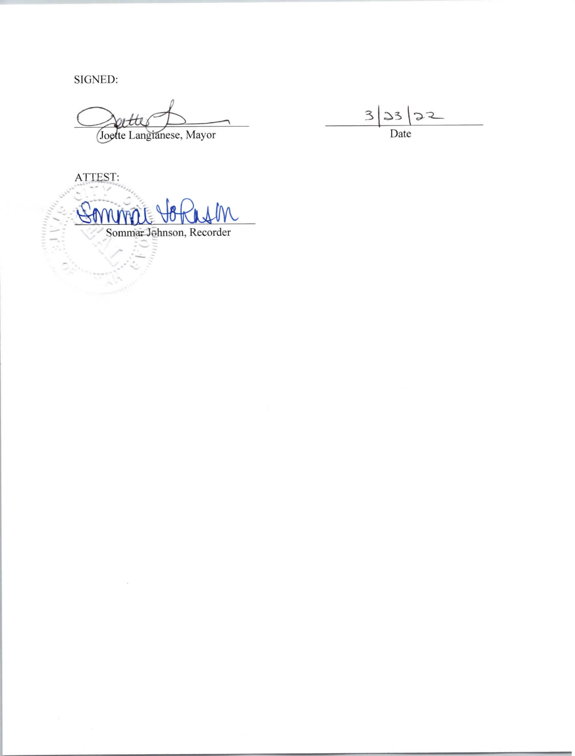SIGNED:

лин*и<sub>и</sub>* 

ortte Joette Langianese, Mayor

 $3|33|32$ Date

ATTEST:  $\mathbb{G}_0$ **NMATE** Sommar Johnson, Recorder Our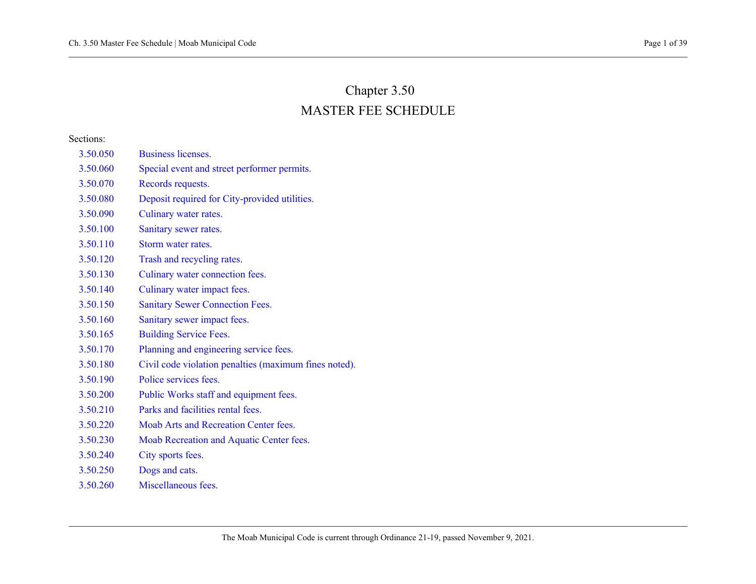# Chapter 3.50 MASTER FEE SCHEDULE

#### Sections:

- [3.50.050 Business licenses.](#page-3-0)
- [3.50.060 Special event and street performer permits.](#page-3-1)
- [3.50.070 Records requests.](#page-4-0)
- [3.50.080 Deposit required for City-provided utilities.](#page-4-1)
- [3.50.090 Culinary water rates.](#page-5-0)
- [3.50.100 Sanitary sewer rates.](#page-8-0)
- [3.50.110 Storm water rates.](#page-10-0)
- [3.50.120 Trash and recycling rates.](#page-10-1)
- [3.50.130 Culinary water connection fees.](#page-13-0)
- [3.50.140 Culinary water impact fees.](#page-14-0)
- [3.50.150 Sanitary Sewer Connection Fees.](#page-15-0)
- [3.50.160 Sanitary sewer impact fees.](#page-15-1)
- [3.50.165 Building Service Fees.](#page-17-0)
- [3.50.170 Planning and engineering service fees.](#page-19-0)
- [3.50.180 Civil code violation penalties \(maximum fines noted\).](#page-23-0)
- [3.50.190 Police services fees.](#page-25-0)
- [3.50.200 Public Works staff and equipment fees.](#page-26-0)
- [3.50.210 Parks and facilities rental fees.](#page-26-1)
- [3.50.220 Moab Arts and Recreation Center fees.](#page-29-0)
- [3.50.230 Moab Recreation and Aquatic Center fees.](#page-30-0)
- [3.50.240 City sports fees.](#page-36-0)
- [3.50.250 Dogs and cats.](#page-37-0)
- [3.50.260 Miscellaneous fees.](#page-39-0)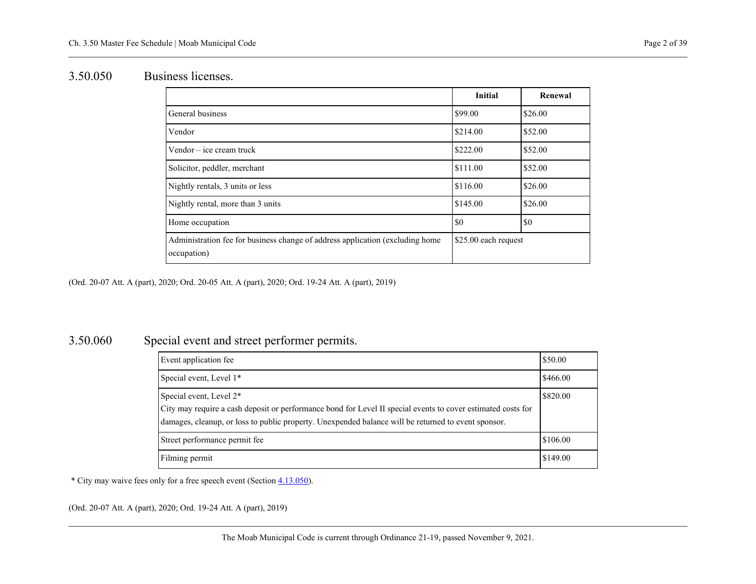### <span id="page-3-0"></span>3.50.050 Business licenses.

|                                                                                              | <b>Initial</b>       | Renewal |
|----------------------------------------------------------------------------------------------|----------------------|---------|
| General business                                                                             | \$99.00              | \$26.00 |
| Vendor                                                                                       | \$214.00             | \$52.00 |
| Vendor – ice cream truck                                                                     | \$222.00             | \$52.00 |
| Solicitor, peddler, merchant                                                                 | \$111.00             | \$52.00 |
| Nightly rentals, 3 units or less                                                             | \$116.00             | \$26.00 |
| Nightly rental, more than 3 units                                                            | \$145.00             | \$26.00 |
| Home occupation                                                                              | \$0                  | \$0     |
| Administration fee for business change of address application (excluding home<br>occupation) | \$25.00 each request |         |

<span id="page-3-1"></span>(Ord. 20-07 Att. A (part), 2020; Ord. 20-05 Att. A (part), 2020; Ord. 19-24 Att. A (part), 2019)

### 3.50.060 Special event and street performer permits.

| Event application fee                                                                                                                                                                                                                          | \$50.00  |
|------------------------------------------------------------------------------------------------------------------------------------------------------------------------------------------------------------------------------------------------|----------|
| Special event, Level 1*                                                                                                                                                                                                                        | \$466.00 |
| Special event, Level 2*<br>City may require a cash deposit or performance bond for Level II special events to cover estimated costs for<br>damages, cleanup, or loss to public property. Unexpended balance will be returned to event sponsor. | \$820.00 |
| Street performance permit fee                                                                                                                                                                                                                  | \$106.00 |
| Filming permit                                                                                                                                                                                                                                 | \$149.00 |

\* City may waive fees only for a free speech event (Sectio[n 4.13.050\)](https://moab.municipal.codes/Code/4.13.050).

(Ord. 20-07 Att. A (part), 2020; Ord. 19-24 Att. A (part), 2019)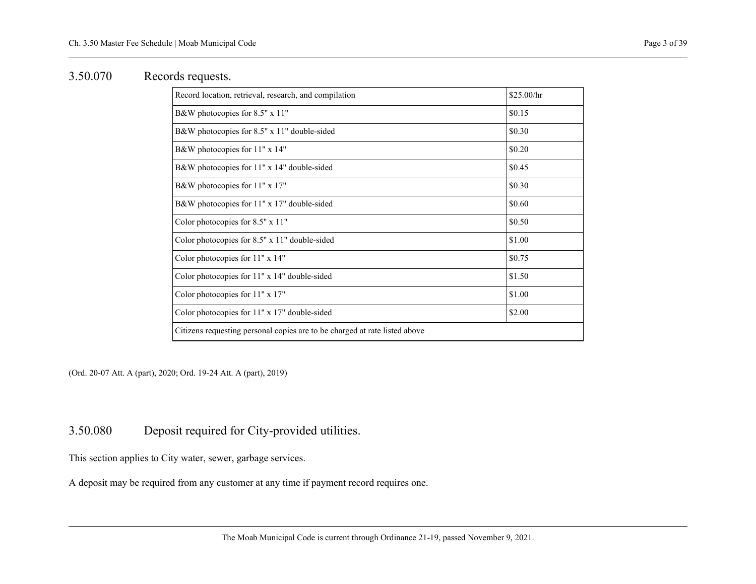### <span id="page-4-0"></span>3.50.070 Records requests.

| Record location, retrieval, research, and compilation                      | \$25.00/hr |
|----------------------------------------------------------------------------|------------|
| B&W photocopies for 8.5" x 11"                                             | \$0.15     |
| B&W photocopies for 8.5" x 11" double-sided                                | \$0.30     |
| B&W photocopies for 11" x 14"                                              | \$0.20     |
| B&W photocopies for 11" x 14" double-sided                                 | \$0.45     |
| B&W photocopies for 11" x 17"                                              | \$0.30     |
| B&W photocopies for 11" x 17" double-sided                                 | \$0.60     |
| Color photocopies for $8.5" \times 11"$                                    | \$0.50     |
| Color photocopies for $8.5" \times 11"$ double-sided                       | \$1.00     |
| Color photocopies for 11" x 14"                                            | \$0.75     |
| Color photocopies for 11" x 14" double-sided                               | \$1.50     |
| Color photocopies for 11" x 17"                                            | \$1.00     |
| Color photocopies for $11" x 17"$ double-sided                             | \$2.00     |
| Citizens requesting personal copies are to be charged at rate listed above |            |

<span id="page-4-1"></span>(Ord. 20-07 Att. A (part), 2020; Ord. 19-24 Att. A (part), 2019)

### 3.50.080 Deposit required for City-provided utilities.

This section applies to City water, sewer, garbage services.

A deposit may be required from any customer at any time if payment record requires one.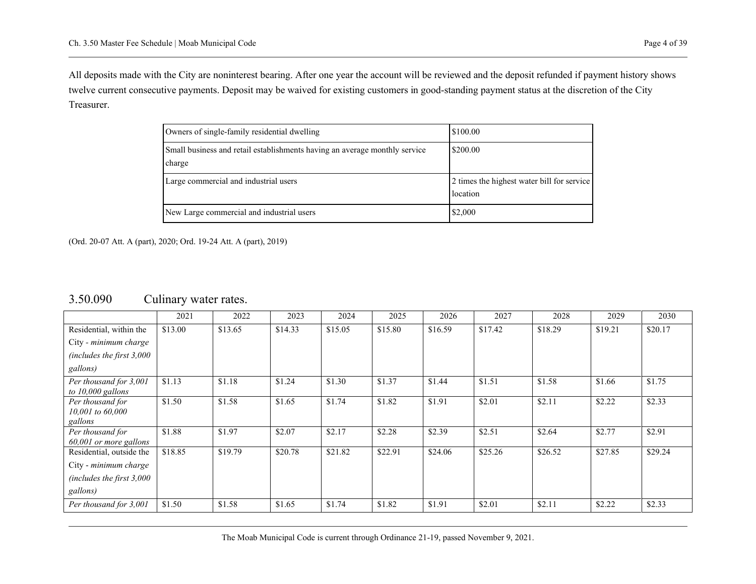All deposits made with the City are noninterest bearing. After one year the account will be reviewed and the deposit refunded if payment history shows twelve current consecutive payments. Deposit may be waived for existing customers in good-standing payment status at the discretion of the City Treasurer.

| Owners of single-family residential dwelling                                         | \$100.00                                               |
|--------------------------------------------------------------------------------------|--------------------------------------------------------|
| Small business and retail establishments having an average monthly service<br>charge | \$200.00                                               |
| Large commercial and industrial users                                                | 2 times the highest water bill for service<br>location |
| New Large commercial and industrial users                                            | \$2,000                                                |

<span id="page-5-0"></span>(Ord. 20-07 Att. A (part), 2020; Ord. 19-24 Att. A (part), 2019)

|                                                   | 2021    | 2022    | 2023    | 2024    | 2025    | 2026    | 2027    | 2028    | 2029    | 2030    |
|---------------------------------------------------|---------|---------|---------|---------|---------|---------|---------|---------|---------|---------|
| Residential, within the                           | \$13.00 | \$13.65 | \$14.33 | \$15.05 | \$15.80 | \$16.59 | \$17.42 | \$18.29 | \$19.21 | \$20.17 |
| City - minimum charge                             |         |         |         |         |         |         |         |         |         |         |
| (includes the first $3,000$                       |         |         |         |         |         |         |         |         |         |         |
| gallons)                                          |         |         |         |         |         |         |         |         |         |         |
| Per thousand for 3,001<br>to $10,000$ gallons     | \$1.13  | \$1.18  | \$1.24  | \$1.30  | \$1.37  | \$1.44  | \$1.51  | \$1.58  | \$1.66  | \$1.75  |
| Per thousand for<br>$10,001$ to 60,000<br>gallons | \$1.50  | \$1.58  | \$1.65  | \$1.74  | \$1.82  | \$1.91  | \$2.01  | \$2.11  | \$2.22  | \$2.33  |
| Per thousand for<br>60,001 or more gallons        | \$1.88  | \$1.97  | \$2.07  | \$2.17  | \$2.28  | \$2.39  | \$2.51  | \$2.64  | \$2.77  | \$2.91  |
| Residential, outside the                          | \$18.85 | \$19.79 | \$20.78 | \$21.82 | \$22.91 | \$24.06 | \$25.26 | \$26.52 | \$27.85 | \$29.24 |
| City - minimum charge                             |         |         |         |         |         |         |         |         |         |         |
| (includes the first $3,000$                       |         |         |         |         |         |         |         |         |         |         |
| gallons)                                          |         |         |         |         |         |         |         |         |         |         |
| Per thousand for 3,001                            | \$1.50  | \$1.58  | \$1.65  | \$1.74  | \$1.82  | \$1.91  | \$2.01  | \$2.11  | \$2.22  | \$2.33  |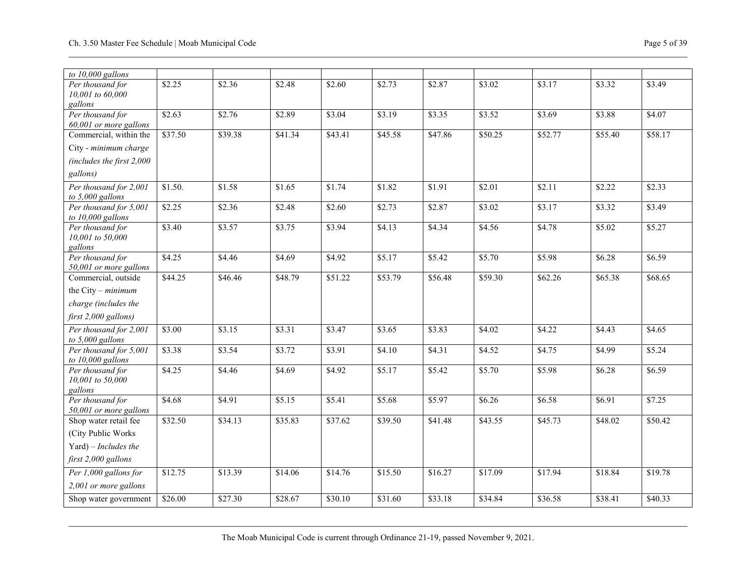| to $10,000$ gallons                           |         |         |         |         |                     |         |                     |         |         |         |
|-----------------------------------------------|---------|---------|---------|---------|---------------------|---------|---------------------|---------|---------|---------|
| Per thousand for                              | \$2.25  | \$2.36  | \$2.48  | \$2.60  | \$2.73              | \$2.87  | \$3.02              | \$3.17  | \$3.32  | \$3.49  |
| 10,001 to 60,000<br>gallons                   |         |         |         |         |                     |         |                     |         |         |         |
| Per thousand for                              | \$2.63  | \$2.76  | \$2.89  | \$3.04  | \$3.19              | \$3.35  | \$3.52              | \$3.69  | \$3.88  | \$4.07  |
| 60,001 or more gallons                        |         |         |         |         |                     |         |                     |         |         |         |
| Commercial, within the                        | \$37.50 | \$39.38 | \$41.34 | \$43.41 | \$45.58             | \$47.86 | \$50.25             | \$52.77 | \$55.40 | \$58.17 |
| City - minimum charge                         |         |         |         |         |                     |         |                     |         |         |         |
| (includes the first 2,000                     |         |         |         |         |                     |         |                     |         |         |         |
| gallons)                                      |         |         |         |         |                     |         |                     |         |         |         |
| Per thousand for 2,001                        | \$1.50. | \$1.58  | \$1.65  | \$1.74  | \$1.82              | \$1.91  | \$2.01              | \$2.11  | \$2.22  | \$2.33  |
| to 5,000 gallons                              |         |         |         |         |                     |         |                     |         |         |         |
| Per thousand for 5,001<br>to $10,000$ gallons | \$2.25  | \$2.36  | \$2.48  | \$2.60  | \$2.73              | \$2.87  | \$3.02              | \$3.17  | \$3.32  | \$3.49  |
| Per thousand for                              | \$3.40  | \$3.57  | \$3.75  | \$3.94  | \$4.13              | \$4.34  | \$4.56              | \$4.78  | \$5.02  | \$5.27  |
| 10,001 to 50,000                              |         |         |         |         |                     |         |                     |         |         |         |
| gallons<br>Per thousand for                   | \$4.25  | \$4.46  | \$4.69  | \$4.92  | \$5.17              | \$5.42  | \$5.70              | \$5.98  | \$6.28  | \$6.59  |
| 50,001 or more gallons                        |         |         |         |         |                     |         |                     |         |         |         |
| Commercial, outside                           | \$44.25 | \$46.46 | \$48.79 | \$51.22 | \$53.79             | \$56.48 | \$59.30             | \$62.26 | \$65.38 | \$68.65 |
| the City $-$ minimum                          |         |         |         |         |                     |         |                     |         |         |         |
| charge (includes the                          |         |         |         |         |                     |         |                     |         |         |         |
| first 2,000 gallons)                          |         |         |         |         |                     |         |                     |         |         |         |
| Per thousand for 2,001<br>to 5,000 gallons    | \$3.00  | \$3.15  | \$3.31  | \$3.47  | \$3.65              | \$3.83  | \$4.02              | \$4.22  | \$4.43  | \$4.65  |
| Per thousand for 5,001                        | \$3.38  | \$3.54  | \$3.72  | \$3.91  | $\sqrt{$4.10}$      | \$4.31  | \$4.52              | \$4.75  | \$4.99  | \$5.24  |
| to $10,000$ gallons                           |         |         |         |         |                     |         |                     |         |         |         |
| Per thousand for<br>10,001 to 50,000          | \$4.25  | \$4.46  | \$4.69  | \$4.92  | \$5.17              | \$5.42  | \$5.70              | \$5.98  | \$6.28  | \$6.59  |
| gallons                                       |         |         |         |         |                     |         |                     |         |         |         |
| Per thousand for                              | \$4.68  | \$4.91  | \$5.15  | \$5.41  | \$5.68              | \$5.97  | $\overline{$6.26}$  | \$6.58  | \$6.91  | \$7.25  |
| 50,001 or more gallons                        |         |         |         |         |                     |         |                     |         |         |         |
| Shop water retail fee                         | \$32.50 | \$34.13 | \$35.83 | \$37.62 | $\overline{$39.50}$ | \$41.48 | $\overline{$43.55}$ | \$45.73 | \$48.02 | \$50.42 |
| (City Public Works                            |         |         |         |         |                     |         |                     |         |         |         |
| Yard) – Includes the                          |         |         |         |         |                     |         |                     |         |         |         |
| first 2,000 gallons                           |         |         |         |         |                     |         |                     |         |         |         |
| Per 1,000 gallons for                         | \$12.75 | \$13.39 | \$14.06 | \$14.76 | \$15.50             | \$16.27 | \$17.09             | \$17.94 | \$18.84 | \$19.78 |
| 2,001 or more gallons                         |         |         |         |         |                     |         |                     |         |         |         |
| Shop water government                         | \$26.00 | \$27.30 | \$28.67 | \$30.10 | \$31.60             | \$33.18 | \$34.84             | \$36.58 | \$38.41 | \$40.33 |
|                                               |         |         |         |         |                     |         |                     |         |         |         |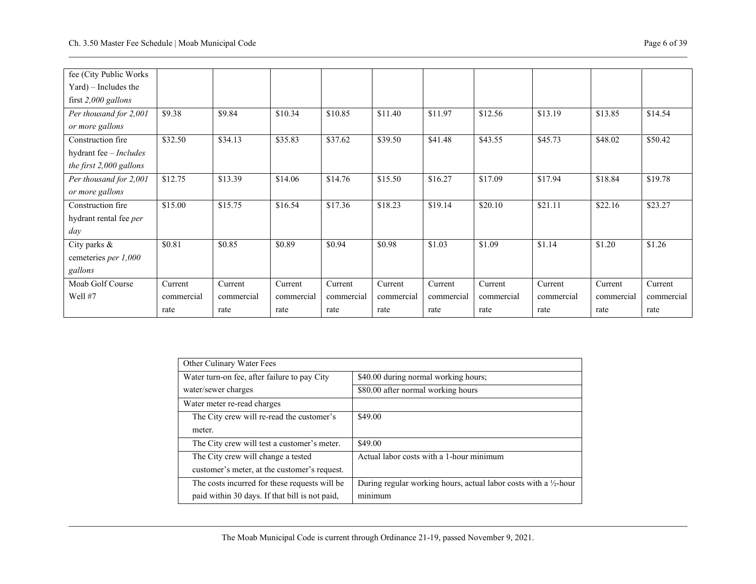| fee (City Public Works  |            |            |            |            |            |            |            |            |            |            |
|-------------------------|------------|------------|------------|------------|------------|------------|------------|------------|------------|------------|
| $Yard$ ) – Includes the |            |            |            |            |            |            |            |            |            |            |
| first 2,000 gallons     |            |            |            |            |            |            |            |            |            |            |
| Per thousand for 2,001  | \$9.38     | \$9.84     | \$10.34    | \$10.85    | \$11.40    | \$11.97    | \$12.56    | \$13.19    | \$13.85    | \$14.54    |
| or more gallons         |            |            |            |            |            |            |            |            |            |            |
| Construction fire       | \$32.50    | \$34.13    | \$35.83    | \$37.62    | \$39.50    | \$41.48    | \$43.55    | \$45.73    | \$48.02    | \$50.42    |
| hydrant fee - Includes  |            |            |            |            |            |            |            |            |            |            |
| the first 2,000 gallons |            |            |            |            |            |            |            |            |            |            |
| Per thousand for 2,001  | \$12.75    | \$13.39    | \$14.06    | \$14.76    | \$15.50    | \$16.27    | \$17.09    | \$17.94    | \$18.84    | \$19.78    |
| or more gallons         |            |            |            |            |            |            |            |            |            |            |
| Construction fire       | \$15.00    | \$15.75    | \$16.54    | \$17.36    | \$18.23    | \$19.14    | \$20.10    | \$21.11    | \$22.16    | \$23.27    |
| hydrant rental fee per  |            |            |            |            |            |            |            |            |            |            |
| day                     |            |            |            |            |            |            |            |            |            |            |
| City parks &            | \$0.81     | \$0.85     | \$0.89     | \$0.94     | \$0.98     | \$1.03     | \$1.09     | \$1.14     | \$1.20     | \$1.26     |
| cemeteries per 1,000    |            |            |            |            |            |            |            |            |            |            |
| gallons                 |            |            |            |            |            |            |            |            |            |            |
| Moab Golf Course        | Current    | Current    | Current    | Current    | Current    | Current    | Current    | Current    | Current    | Current    |
| Well #7                 | commercial | commercial | commercial | commercial | commercial | commercial | commercial | commercial | commercial | commercial |
|                         | rate       | rate       | rate       | rate       | rate       | rate       | rate       | rate       | rate       | rate       |

| Other Culinary Water Fees                      |                                                                  |
|------------------------------------------------|------------------------------------------------------------------|
|                                                |                                                                  |
| Water turn-on fee, after failure to pay City   | \$40.00 during normal working hours;                             |
| water/sewer charges                            | \$80.00 after normal working hours                               |
| Water meter re-read charges                    |                                                                  |
| The City crew will re-read the customer's      | \$49.00                                                          |
| meter.                                         |                                                                  |
| The City crew will test a customer's meter.    | \$49.00                                                          |
| The City crew will change a tested             | Actual labor costs with a 1-hour minimum                         |
| customer's meter, at the customer's request.   |                                                                  |
| The costs incurred for these requests will be  | During regular working hours, actual labor costs with a 1/2-hour |
| paid within 30 days. If that bill is not paid, | minimum                                                          |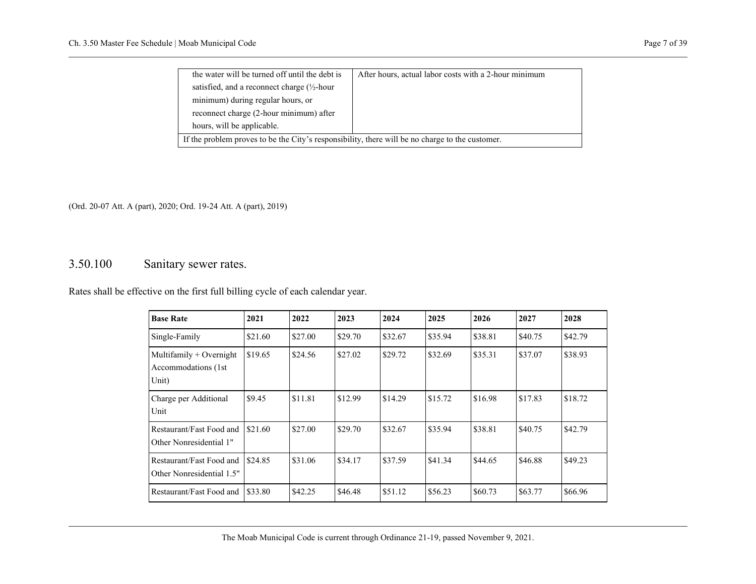| the water will be turned off until the debt is                                                  | After hours, actual labor costs with a 2-hour minimum |  |  |  |  |  |  |
|-------------------------------------------------------------------------------------------------|-------------------------------------------------------|--|--|--|--|--|--|
| satisfied, and a reconnect charge $(\frac{1}{2})$ -hour                                         |                                                       |  |  |  |  |  |  |
| minimum) during regular hours, or                                                               |                                                       |  |  |  |  |  |  |
| reconnect charge (2-hour minimum) after                                                         |                                                       |  |  |  |  |  |  |
| hours, will be applicable.                                                                      |                                                       |  |  |  |  |  |  |
| If the problem proves to be the City's responsibility, there will be no charge to the customer. |                                                       |  |  |  |  |  |  |

### <span id="page-8-0"></span>3.50.100 Sanitary sewer rates.

Rates shall be effective on the first full billing cycle of each calendar year.

| <b>Base Rate</b>                                           | 2021    | 2022    | 2023    | 2024    | 2025    | 2026    | 2027    | 2028    |
|------------------------------------------------------------|---------|---------|---------|---------|---------|---------|---------|---------|
| Single-Family                                              | \$21.60 | \$27.00 | \$29.70 | \$32.67 | \$35.94 | \$38.81 | \$40.75 | \$42.79 |
| Multifamily $+$ Overnight<br>Accommodations (1st)<br>Unit) | \$19.65 | \$24.56 | \$27.02 | \$29.72 | \$32.69 | \$35.31 | \$37.07 | \$38.93 |
| Charge per Additional<br>Unit                              | \$9.45  | \$11.81 | \$12.99 | \$14.29 | \$15.72 | \$16.98 | \$17.83 | \$18.72 |
| Restaurant/Fast Food and<br>Other Nonresidential 1"        | \$21.60 | \$27.00 | \$29.70 | \$32.67 | \$35.94 | \$38.81 | \$40.75 | \$42.79 |
| Restaurant/Fast Food and<br>Other Nonresidential 1.5"      | \$24.85 | \$31.06 | \$34.17 | \$37.59 | \$41.34 | \$44.65 | \$46.88 | \$49.23 |
| Restaurant/Fast Food and                                   | \$33.80 | \$42.25 | \$46.48 | \$51.12 | \$56.23 | \$60.73 | \$63.77 | \$66.96 |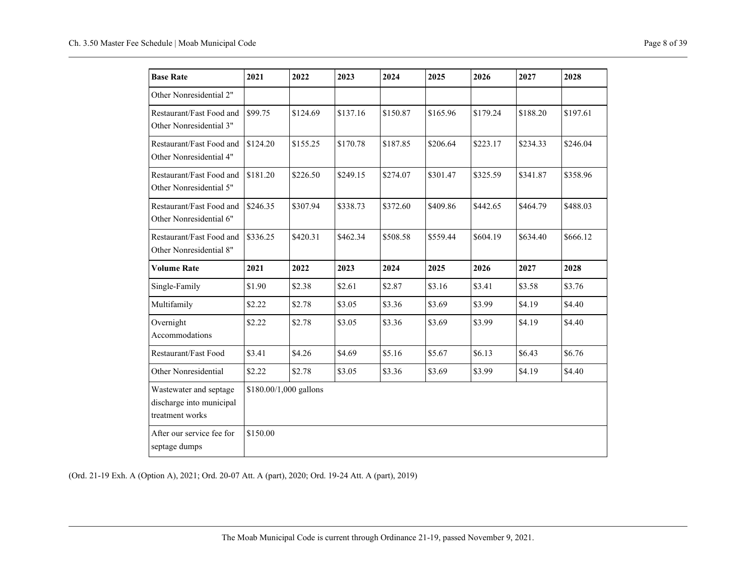| <b>Base Rate</b>                                                      | 2021     | 2022                   | 2023     | 2024     | 2025     | 2026     | 2027     | 2028     |
|-----------------------------------------------------------------------|----------|------------------------|----------|----------|----------|----------|----------|----------|
| Other Nonresidential 2"                                               |          |                        |          |          |          |          |          |          |
| Restaurant/Fast Food and<br>Other Nonresidential 3"                   | \$99.75  | \$124.69               | \$137.16 | \$150.87 | \$165.96 | \$179.24 | \$188.20 | \$197.61 |
| Restaurant/Fast Food and<br>Other Nonresidential 4"                   | \$124.20 | \$155.25               | \$170.78 | \$187.85 | \$206.64 | \$223.17 | \$234.33 | \$246.04 |
| Restaurant/Fast Food and<br>Other Nonresidential 5"                   | \$181.20 | \$226.50               | \$249.15 | \$274.07 | \$301.47 | \$325.59 | \$341.87 | \$358.96 |
| Restaurant/Fast Food and<br>Other Nonresidential 6"                   | \$246.35 | \$307.94               | \$338.73 | \$372.60 | \$409.86 | \$442.65 | \$464.79 | \$488.03 |
| Restaurant/Fast Food and<br>Other Nonresidential 8"                   | \$336.25 | \$420.31               | \$462.34 | \$508.58 | \$559.44 | \$604.19 | \$634.40 | \$666.12 |
| <b>Volume Rate</b>                                                    | 2021     | 2022                   | 2023     | 2024     | 2025     | 2026     | 2027     | 2028     |
| Single-Family                                                         | \$1.90   | \$2.38                 | \$2.61   | \$2.87   | \$3.16   | \$3.41   | \$3.58   | \$3.76   |
| Multifamily                                                           | \$2.22   | \$2.78                 | \$3.05   | \$3.36   | \$3.69   | \$3.99   | \$4.19   | \$4.40   |
| Overnight<br>Accommodations                                           | \$2.22   | \$2.78                 | \$3.05   | \$3.36   | \$3.69   | \$3.99   | \$4.19   | \$4.40   |
| Restaurant/Fast Food                                                  | \$3.41   | \$4.26                 | \$4.69   | \$5.16   | \$5.67   | \$6.13   | \$6.43   | \$6.76   |
| Other Nonresidential                                                  | \$2.22   | \$2.78                 | \$3.05   | \$3.36   | \$3.69   | \$3.99   | \$4.19   | \$4.40   |
| Wastewater and septage<br>discharge into municipal<br>treatment works |          | \$180.00/1,000 gallons |          |          |          |          |          |          |
| After our service fee for<br>septage dumps                            | \$150.00 |                        |          |          |          |          |          |          |

(Ord. 21-19 Exh. A (Option A), 2021; Ord. 20-07 Att. A (part), 2020; Ord. 19-24 Att. A (part), 2019)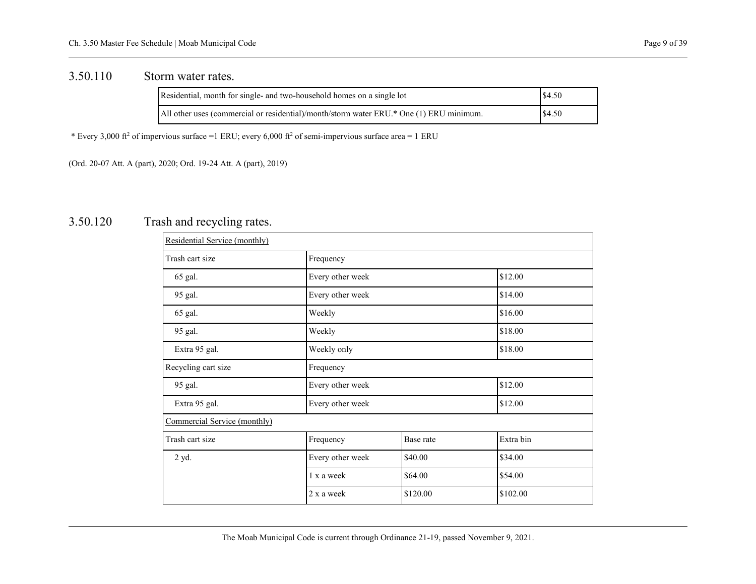#### <span id="page-10-0"></span>3.50.110 Storm water rates.

| Residential, month for single- and two-household homes on a single lot                  | \$4.50 |
|-----------------------------------------------------------------------------------------|--------|
| All other uses (commercial or residential)/month/storm water ERU.* One (1) ERU minimum. | \$4.50 |

\* Every 3,000 ft<sup>2</sup> of impervious surface =1 ERU; every 6,000 ft<sup>2</sup> of semi-impervious surface area = 1 ERU

<span id="page-10-1"></span>(Ord. 20-07 Att. A (part), 2020; Ord. 19-24 Att. A (part), 2019)

### 3.50.120 Trash and recycling rates.

| Residential Service (monthly) |                             |          |           |  |
|-------------------------------|-----------------------------|----------|-----------|--|
| Trash cart size               | Frequency                   |          |           |  |
| 65 gal.                       | Every other week            |          | \$12.00   |  |
| 95 gal.                       | Every other week            |          | \$14.00   |  |
| 65 gal.                       | Weekly                      |          | \$16.00   |  |
| 95 gal.                       | Weekly                      | \$18.00  |           |  |
| Extra 95 gal.                 | \$18.00<br>Weekly only      |          |           |  |
| Recycling cart size           | Frequency                   |          |           |  |
| 95 gal.                       | \$12.00<br>Every other week |          |           |  |
| Extra 95 gal.                 | \$12.00<br>Every other week |          |           |  |
| Commercial Service (monthly)  |                             |          |           |  |
| Trash cart size               | Frequency<br>Base rate      |          | Extra bin |  |
| 2 yd.                         | Every other week            | \$40.00  | \$34.00   |  |
|                               | 1 x a week                  | \$64.00  | \$54.00   |  |
|                               | 2 x a week                  | \$120.00 | \$102.00  |  |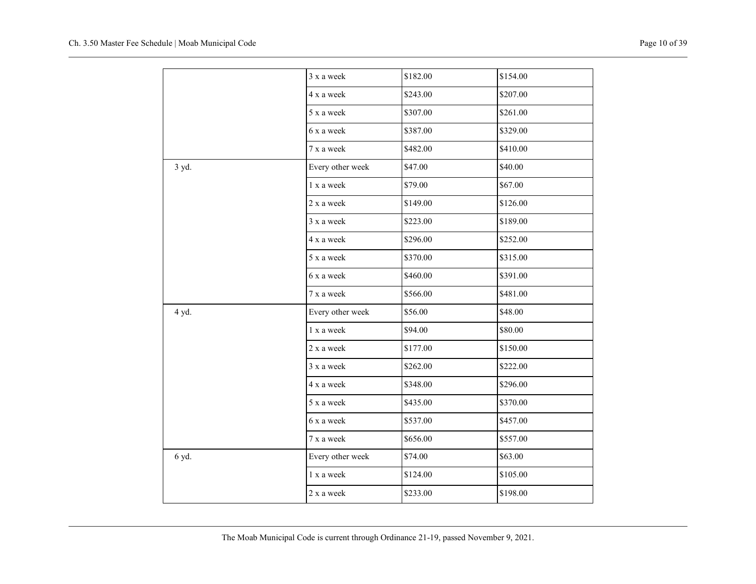|       | 3 x a week       | \$182.00 | \$154.00 |
|-------|------------------|----------|----------|
|       | 4 x a week       | \$243.00 | \$207.00 |
|       | 5 x a week       | \$307.00 | \$261.00 |
|       | 6 x a week       | \$387.00 | \$329.00 |
|       | 7 x a week       | \$482.00 | \$410.00 |
| 3 yd. | Every other week | \$47.00  | \$40.00  |
|       | 1 x a week       | \$79.00  | \$67.00  |
|       | 2 x a week       | \$149.00 | \$126.00 |
|       | 3 x a week       | \$223.00 | \$189.00 |
|       | 4 x a week       | \$296.00 | \$252.00 |
|       | 5 x a week       | \$370.00 | \$315.00 |
|       | 6 x a week       | \$460.00 | \$391.00 |
|       | 7 x a week       | \$566.00 | \$481.00 |
| 4 yd. | Every other week | \$56.00  | \$48.00  |
|       | 1 x a week       | \$94.00  | \$80.00  |
|       | 2 x a week       | \$177.00 | \$150.00 |
|       | 3 x a week       | \$262.00 | \$222.00 |
|       | 4 x a week       | \$348.00 | \$296.00 |
|       | 5 x a week       | \$435.00 | \$370.00 |
|       | 6 x a week       | \$537.00 | \$457.00 |
|       | 7 x a week       | \$656.00 | \$557.00 |
| 6 yd. | Every other week | \$74.00  | \$63.00  |
|       | 1 x a week       | \$124.00 | \$105.00 |
|       | 2 x a week       | \$233.00 | \$198.00 |
|       |                  |          |          |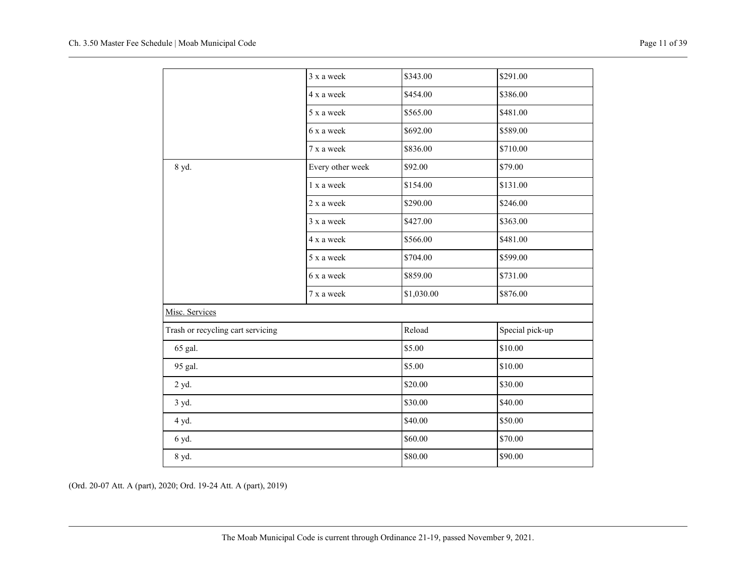|                                   | 3 x a week       | \$343.00   | \$291.00        |
|-----------------------------------|------------------|------------|-----------------|
|                                   | 4 x a week       | \$454.00   | \$386.00        |
|                                   | 5 x a week       | \$565.00   | \$481.00        |
|                                   | 6 x a week       | \$692.00   | \$589.00        |
|                                   | 7 x a week       | \$836.00   | \$710.00        |
| 8 yd.                             | Every other week | \$92.00    | \$79.00         |
|                                   | 1 x a week       | \$154.00   | \$131.00        |
|                                   | 2 x a week       | \$290.00   | \$246.00        |
|                                   | 3 x a week       | \$427.00   | \$363.00        |
|                                   | 4 x a week       | \$566.00   | \$481.00        |
|                                   | 5 x a week       | \$704.00   | \$599.00        |
|                                   | 6 x a week       | \$859.00   | \$731.00        |
|                                   | 7 x a week       | \$1,030.00 | \$876.00        |
| Misc. Services                    |                  |            |                 |
| Trash or recycling cart servicing |                  | Reload     | Special pick-up |
| 65 gal.                           |                  | \$5.00     | \$10.00         |
| 95 gal.                           |                  | \$5.00     | \$10.00         |
| 2 yd.                             |                  | \$20.00    | \$30.00         |
| 3 yd.                             |                  | \$30.00    | \$40.00         |
| 4 yd.                             |                  | \$40.00    | \$50.00         |
| 6 yd.                             |                  | \$60.00    | \$70.00         |
| 8 yd.                             |                  | \$80.00    | \$90.00         |
|                                   |                  |            |                 |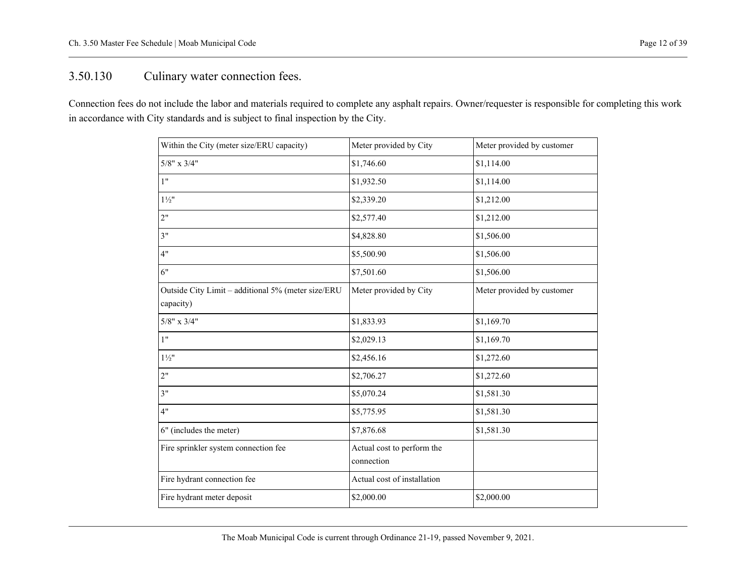## <span id="page-13-0"></span>3.50.130 Culinary water connection fees.

Connection fees do not include the labor and materials required to complete any asphalt repairs. Owner/requester is responsible for completing this work in accordance with City standards and is subject to final inspection by the City.

| Within the City (meter size/ERU capacity)                       | Meter provided by City                   | Meter provided by customer |
|-----------------------------------------------------------------|------------------------------------------|----------------------------|
| $5/8$ " x $3/4$ "                                               | \$1,746.60                               | \$1,114.00                 |
| 1"                                                              | \$1,932.50                               | \$1,114.00                 |
| $1\frac{1}{2}$ "                                                | \$2,339.20                               | \$1,212.00                 |
| 2"                                                              | \$2,577.40                               | \$1,212.00                 |
| 3"                                                              | \$4,828.80                               | \$1,506.00                 |
| 4"                                                              | \$5,500.90                               | \$1,506.00                 |
| 6"                                                              | \$7,501.60                               | \$1,506.00                 |
| Outside City Limit - additional 5% (meter size/ERU<br>capacity) | Meter provided by City                   | Meter provided by customer |
| $5/8$ " x $3/4$ "                                               | \$1,833.93                               | \$1,169.70                 |
| 1"                                                              | \$2,029.13                               | \$1,169.70                 |
| $1\frac{1}{2}$                                                  | \$2,456.16                               | \$1,272.60                 |
| 2"                                                              | \$2,706.27                               | \$1,272.60                 |
| 3"                                                              | \$5,070.24                               | \$1,581.30                 |
| 4"                                                              | \$5,775.95                               | \$1,581.30                 |
| 6" (includes the meter)                                         | \$7,876.68                               | \$1,581.30                 |
| Fire sprinkler system connection fee                            | Actual cost to perform the<br>connection |                            |
| Fire hydrant connection fee                                     | Actual cost of installation              |                            |
| Fire hydrant meter deposit                                      | \$2,000.00                               | \$2,000.00                 |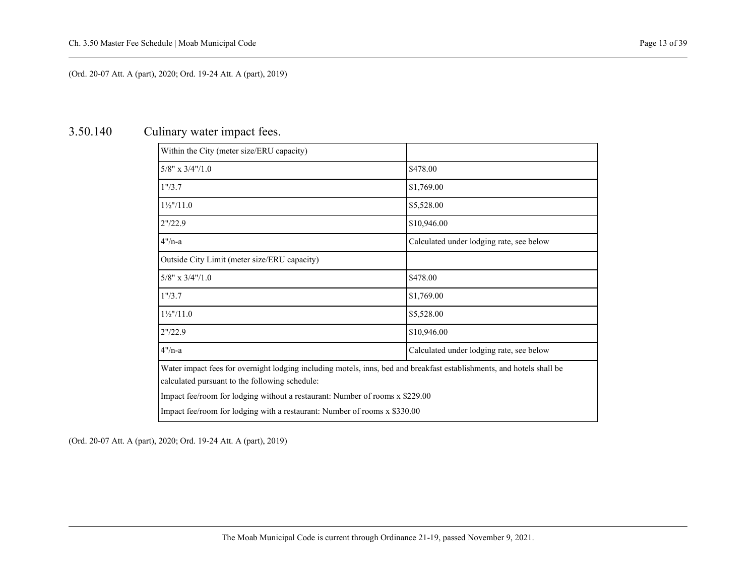## <span id="page-14-0"></span>3.50.140 Culinary water impact fees.

| Within the City (meter size/ERU capacity)                                                                                                                               |                                          |  |  |  |
|-------------------------------------------------------------------------------------------------------------------------------------------------------------------------|------------------------------------------|--|--|--|
| $5/8$ " x $3/4$ "/1.0                                                                                                                                                   | \$478.00                                 |  |  |  |
| 1''/3.7                                                                                                                                                                 | \$1,769.00                               |  |  |  |
| $1\frac{1}{2}$ "/11.0                                                                                                                                                   | \$5,528.00                               |  |  |  |
| 2" / 22.9                                                                                                                                                               | \$10,946.00                              |  |  |  |
| 4"/n-a                                                                                                                                                                  | Calculated under lodging rate, see below |  |  |  |
| Outside City Limit (meter size/ERU capacity)                                                                                                                            |                                          |  |  |  |
| $5/8$ " x $3/4$ "/1.0                                                                                                                                                   | \$478.00                                 |  |  |  |
| 1" / 3.7                                                                                                                                                                | \$1,769.00                               |  |  |  |
| $1\frac{1}{2}$ "/11.0                                                                                                                                                   | \$5,528.00                               |  |  |  |
| 2"/22.9                                                                                                                                                                 | \$10,946.00                              |  |  |  |
| 4"/n-a                                                                                                                                                                  | Calculated under lodging rate, see below |  |  |  |
| Water impact fees for overnight lodging including motels, inns, bed and breakfast establishments, and hotels shall be<br>calculated pursuant to the following schedule: |                                          |  |  |  |
| Impact fee/room for lodging without a restaurant: Number of rooms x \$229.00                                                                                            |                                          |  |  |  |
| Impact fee/room for lodging with a restaurant: Number of rooms x \$330.00                                                                                               |                                          |  |  |  |
|                                                                                                                                                                         |                                          |  |  |  |

(Ord. 20-07 Att. A (part), 2020; Ord. 19-24 Att. A (part), 2019)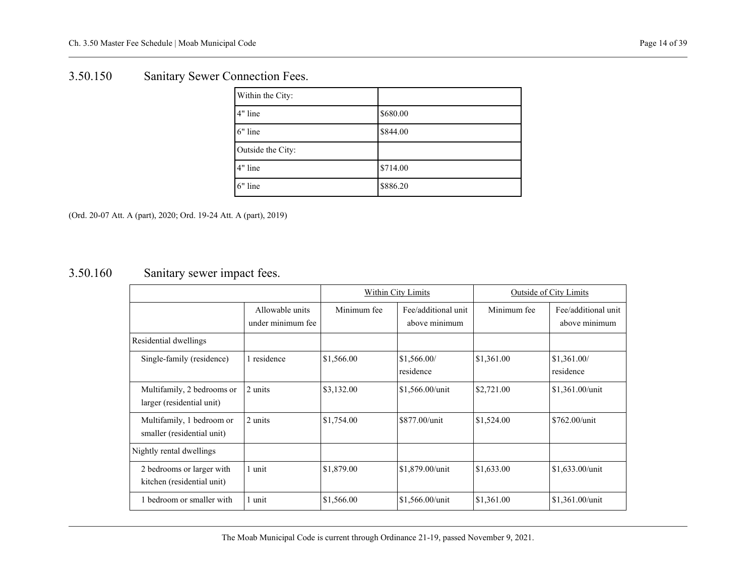## <span id="page-15-0"></span>3.50.150 Sanitary Sewer Connection Fees.

| Within the City:  |          |
|-------------------|----------|
| 4" line           | \$680.00 |
| 6" line           | \$844.00 |
| Outside the City: |          |
| 4" line           | \$714.00 |
| 6" line           | \$886.20 |

<span id="page-15-1"></span>(Ord. 20-07 Att. A (part), 2020; Ord. 19-24 Att. A (part), 2019)

## 3.50.160 Sanitary sewer impact fees.

|                                                         |                                      | Within City Limits |                                      | <b>Outside of City Limits</b> |                                      |
|---------------------------------------------------------|--------------------------------------|--------------------|--------------------------------------|-------------------------------|--------------------------------------|
|                                                         | Allowable units<br>under minimum fee | Minimum fee        | Fee/additional unit<br>above minimum | Minimum fee                   | Fee/additional unit<br>above minimum |
| Residential dwellings                                   |                                      |                    |                                      |                               |                                      |
| Single-family (residence)                               | 1 residence                          | \$1,566.00         | \$1,566.00/<br>residence             | \$1,361.00                    | \$1,361.00/<br>residence             |
| Multifamily, 2 bedrooms or<br>larger (residential unit) | 2 units                              | \$3,132.00         | \$1,566.00/unit                      | \$2,721.00                    | \$1,361.00/unit                      |
| Multifamily, 1 bedroom or<br>smaller (residential unit) | 2 units                              | \$1,754.00         | \$877.00/unit                        | \$1,524.00                    | \$762.00/unit                        |
| Nightly rental dwellings                                |                                      |                    |                                      |                               |                                      |
| 2 bedrooms or larger with<br>kitchen (residential unit) | 1 unit                               | \$1,879.00         | \$1,879.00/unit                      | \$1,633.00                    | $$1,633.00/$ unit                    |
| 1 bedroom or smaller with                               | 1 unit                               | \$1,566.00         | \$1,566.00/unit                      | \$1,361.00                    | $$1,361.00/$ unit                    |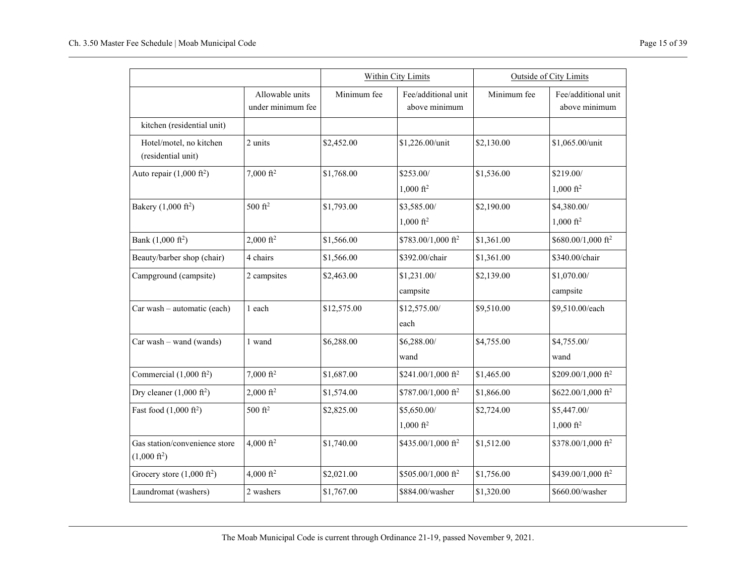|                                                         |                                      |             | Within City Limits                   |             | Outside of City Limits               |
|---------------------------------------------------------|--------------------------------------|-------------|--------------------------------------|-------------|--------------------------------------|
|                                                         | Allowable units<br>under minimum fee | Minimum fee | Fee/additional unit<br>above minimum | Minimum fee | Fee/additional unit<br>above minimum |
| kitchen (residential unit)                              |                                      |             |                                      |             |                                      |
| Hotel/motel, no kitchen<br>(residential unit)           | 2 units                              | \$2,452.00  | \$1,226.00/unit                      | \$2,130.00  | \$1,065.00/unit                      |
| Auto repair $(1,000 \text{ ft}^2)$                      | $7,000 \text{ ft}^2$                 | \$1,768.00  | \$253.00/<br>$1,000 \text{ ft}^2$    | \$1,536.00  | \$219.00/<br>$1,000 \text{ ft}^2$    |
| Bakery $(1,000 \text{ ft}^2)$                           | $500 \text{ ft}^2$                   | \$1,793.00  | \$3,585.00/<br>$1,000 \text{ ft}^2$  | \$2,190.00  | \$4,380.00/<br>$1,000 \text{ ft}^2$  |
| Bank $(1,000 \text{ ft}^2)$                             | $2,000 \text{ ft}^2$                 | \$1,566.00  | \$783.00/1,000 ft <sup>2</sup>       | \$1,361.00  | $$680.00/1,000$ ft <sup>2</sup>      |
| Beauty/barber shop (chair)                              | 4 chairs                             | \$1,566.00  | \$392.00/chair                       | \$1,361.00  | \$340.00/chair                       |
| Campground (campsite)                                   | 2 campsites                          | \$2,463.00  | \$1,231.00/<br>campsite              | \$2,139.00  | \$1,070.00/<br>campsite              |
| Car wash - automatic (each)                             | 1 each                               | \$12,575.00 | \$12,575.00/<br>each                 | \$9,510.00  | \$9,510.00/each                      |
| $Car wash - wand (wands)$                               | 1 wand                               | \$6,288.00  | \$6,288.00/<br>wand                  | \$4,755.00  | \$4,755.00/<br>wand                  |
| Commercial $(1,000 \text{ ft}^2)$                       | 7,000 $ft^2$                         | \$1,687.00  | \$241.00/1,000 ft <sup>2</sup>       | \$1,465.00  | \$209.00/1,000 ft <sup>2</sup>       |
| Dry cleaner $(1,000 \text{ ft}^2)$                      | $2,000 \text{ ft}^2$                 | \$1,574.00  | \$787.00/1,000 ft <sup>2</sup>       | \$1,866.00  | \$622.00/1,000 ft <sup>2</sup>       |
| Fast food $(1,000 \text{ ft}^2)$                        | 500 $ft^2$                           | \$2,825.00  | \$5,650.00/<br>$1,000 \text{ ft}^2$  | \$2,724.00  | \$5,447.00/<br>$1,000 \text{ ft}^2$  |
| Gas station/convenience store<br>$(1,000 \text{ ft}^2)$ | 4,000 ft <sup>2</sup>                | \$1,740.00  | \$435.00/1,000 ft <sup>2</sup>       | \$1,512.00  | \$378.00/1,000 ft <sup>2</sup>       |
| Grocery store $(1,000 \text{ ft}^2)$                    | 4,000 ft <sup>2</sup>                | \$2,021.00  | \$505.00/1,000 ft <sup>2</sup>       | \$1,756.00  | \$439.00/1,000 ft <sup>2</sup>       |
| Laundromat (washers)                                    | 2 washers                            | \$1,767.00  | \$884.00/washer                      | \$1,320.00  | \$660.00/washer                      |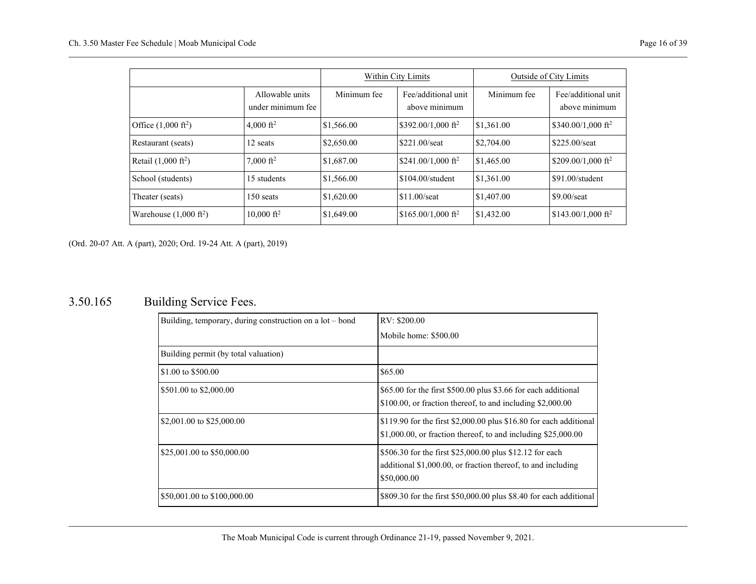|                                  |                                      | Within City Limits |                                      |             | <b>Outside of City Limits</b>        |
|----------------------------------|--------------------------------------|--------------------|--------------------------------------|-------------|--------------------------------------|
|                                  | Allowable units<br>under minimum fee | Minimum fee        | Fee/additional unit<br>above minimum | Minimum fee | Fee/additional unit<br>above minimum |
| Office $(1,000 \text{ ft}^2)$    | 4,000 ft <sup>2</sup>                | \$1,566.00         | $$392.00/1,000$ ft <sup>2</sup>      | \$1,361.00  | \$340.00/1,000 ft <sup>2</sup>       |
| Restaurant (seats)               | 12 seats                             | \$2,650.00         | $$221.00/\text{seat}$                | \$2,704.00  | \$225,00/seat                        |
| Retail $(1,000 \text{ ft}^2)$    | 7,000 ft <sup>2</sup>                | \$1,687.00         | \$241.00/1.000 ft <sup>2</sup>       | \$1,465.00  | \$209.00/1,000 ft <sup>2</sup>       |
| School (students)                | 15 students                          | \$1,566.00         | \$104.00/student                     | \$1,361.00  | \$91.00/student                      |
| Theater (seats)                  | $150$ seats                          | \$1,620.00         | $$11.00$ /seat                       | \$1,407.00  | $$9.00/\text{seat}$                  |
| Warehouse $(1,000 \text{ ft}^2)$ | $10,000 \text{ ft}^2$                | \$1,649.00         | $$165.00/1,000$ ft <sup>2</sup>      | \$1,432.00  | $$143.00/1,000$ ft <sup>2</sup>      |

# <span id="page-17-0"></span>3.50.165 Building Service Fees.

| Building, temporary, during construction on a lot – bond | RV: \$200.00                                                                                                                            |
|----------------------------------------------------------|-----------------------------------------------------------------------------------------------------------------------------------------|
|                                                          | Mobile home: \$500.00                                                                                                                   |
| Building permit (by total valuation)                     |                                                                                                                                         |
| \$1.00 to \$500.00                                       | \$65.00                                                                                                                                 |
| \$501.00 to \$2,000.00                                   | \$65.00 for the first \$500.00 plus \$3.66 for each additional<br>\$100.00, or fraction thereof, to and including \$2,000.00            |
| $\frac{1}{2}$ \$2,001.00 to \$25,000.00                  | \$119.90 for the first \$2,000.00 plus \$16.80 for each additional<br>$$1,000.00$ , or fraction thereof, to and including $$25,000.00$  |
| \$25,001.00 to \$50,000.00                               | \$506.30 for the first \$25,000.00 plus \$12.12 for each<br>additional \$1,000.00, or fraction thereof, to and including<br>\$50,000.00 |
| \$50,001.00 to \$100,000.00                              | \$809.30 for the first \$50,000.00 plus \$8.40 for each additional                                                                      |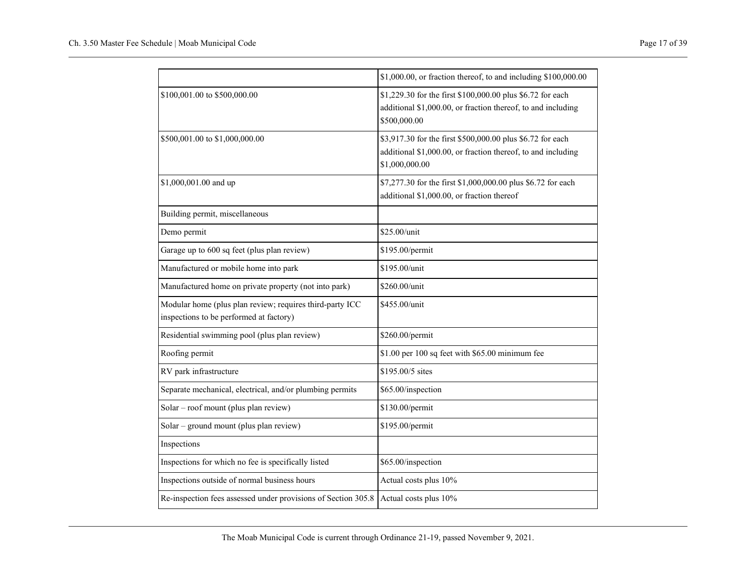|                                                                                                     | \$1,000.00, or fraction thereof, to and including \$100,000.00                                                                               |
|-----------------------------------------------------------------------------------------------------|----------------------------------------------------------------------------------------------------------------------------------------------|
| \$100,001.00 to \$500,000.00                                                                        | \$1,229.30 for the first \$100,000.00 plus \$6.72 for each<br>additional \$1,000.00, or fraction thereof, to and including<br>\$500,000.00   |
| \$500,001.00 to \$1,000,000.00                                                                      | \$3,917.30 for the first \$500,000.00 plus \$6.72 for each<br>additional \$1,000.00, or fraction thereof, to and including<br>\$1,000,000.00 |
| \$1,000,001.00 and up                                                                               | \$7,277.30 for the first \$1,000,000.00 plus \$6.72 for each<br>additional \$1,000.00, or fraction thereof                                   |
| Building permit, miscellaneous                                                                      |                                                                                                                                              |
| Demo permit                                                                                         | \$25.00/unit                                                                                                                                 |
| Garage up to 600 sq feet (plus plan review)                                                         | \$195.00/permit                                                                                                                              |
| Manufactured or mobile home into park                                                               | \$195.00/unit                                                                                                                                |
| Manufactured home on private property (not into park)                                               | \$260.00/unit                                                                                                                                |
| Modular home (plus plan review; requires third-party ICC<br>inspections to be performed at factory) | \$455.00/unit                                                                                                                                |
| Residential swimming pool (plus plan review)                                                        | \$260.00/permit                                                                                                                              |
| Roofing permit                                                                                      | \$1.00 per 100 sq feet with \$65.00 minimum fee                                                                                              |
| RV park infrastructure                                                                              | \$195.00/5 sites                                                                                                                             |
| Separate mechanical, electrical, and/or plumbing permits                                            | \$65.00/inspection                                                                                                                           |
| Solar – roof mount (plus plan review)                                                               | \$130.00/permit                                                                                                                              |
| Solar - ground mount (plus plan review)                                                             | \$195.00/permit                                                                                                                              |
| Inspections                                                                                         |                                                                                                                                              |
| Inspections for which no fee is specifically listed                                                 | \$65.00/inspection                                                                                                                           |
| Inspections outside of normal business hours                                                        | Actual costs plus 10%                                                                                                                        |
| Re-inspection fees assessed under provisions of Section 305.8                                       | Actual costs plus 10%                                                                                                                        |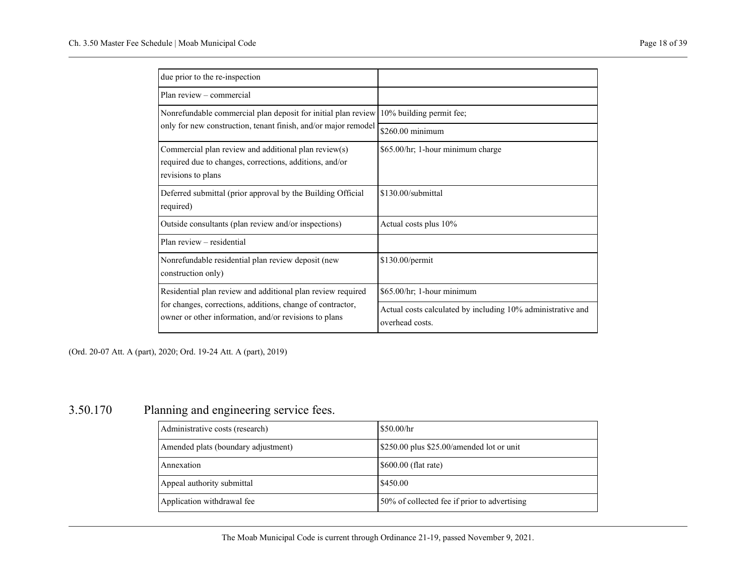| due prior to the re-inspection                                                                                                                                                     |                                                                                |
|------------------------------------------------------------------------------------------------------------------------------------------------------------------------------------|--------------------------------------------------------------------------------|
| Plan review – commercial                                                                                                                                                           |                                                                                |
| Nonrefundable commercial plan deposit for initial plan review                                                                                                                      | 10% building permit fee;                                                       |
| only for new construction, tenant finish, and/or major remodel                                                                                                                     | $$260.00$ minimum                                                              |
| Commercial plan review and additional plan review $(s)$<br>required due to changes, corrections, additions, and/or<br>revisions to plans                                           | \$65.00/hr; 1-hour minimum charge                                              |
| Deferred submittal (prior approval by the Building Official<br>required)                                                                                                           | \$130.00/submittal                                                             |
| Outside consultants (plan review and/or inspections)                                                                                                                               | Actual costs plus 10%                                                          |
| Plan review – residential                                                                                                                                                          |                                                                                |
| Nonrefundable residential plan review deposit (new<br>construction only)                                                                                                           | \$130.00/permit                                                                |
| Residential plan review and additional plan review required<br>for changes, corrections, additions, change of contractor,<br>owner or other information, and/or revisions to plans | \$65.00/hr; 1-hour minimum                                                     |
|                                                                                                                                                                                    | Actual costs calculated by including 10% administrative and<br>overhead costs. |

## <span id="page-19-0"></span>3.50.170 Planning and engineering service fees.

| Administrative costs (research)     | \$50.00/hr                                   |
|-------------------------------------|----------------------------------------------|
| Amended plats (boundary adjustment) | \$250.00 plus \$25.00/amended lot or unit    |
| Annexation                          | $$600.00$ (flat rate)                        |
| Appeal authority submittal          | \$450.00                                     |
| Application withdrawal fee          | 50% of collected fee if prior to advertising |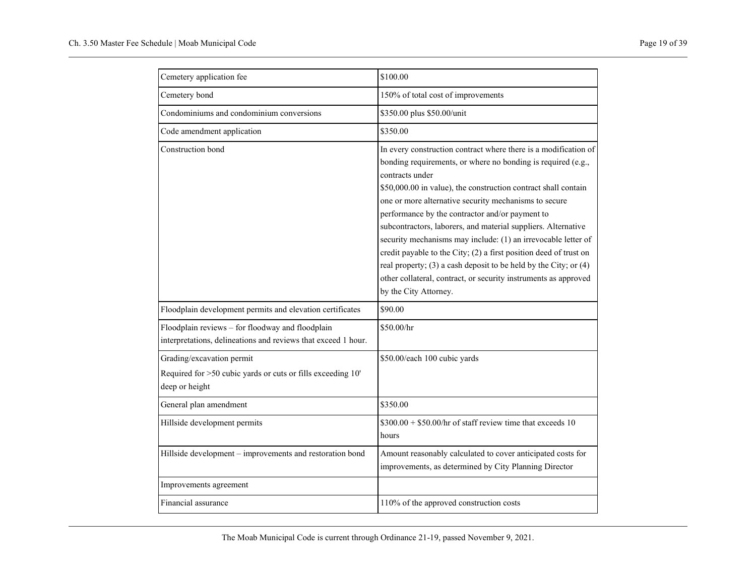| Cemetery application fee                                                                                          | \$100.00                                                                                                                                                                                                                                                                                                                                                                                                                                                                                                                                                                                                                                                                                                |
|-------------------------------------------------------------------------------------------------------------------|---------------------------------------------------------------------------------------------------------------------------------------------------------------------------------------------------------------------------------------------------------------------------------------------------------------------------------------------------------------------------------------------------------------------------------------------------------------------------------------------------------------------------------------------------------------------------------------------------------------------------------------------------------------------------------------------------------|
| Cemetery bond                                                                                                     | 150% of total cost of improvements                                                                                                                                                                                                                                                                                                                                                                                                                                                                                                                                                                                                                                                                      |
| Condominiums and condominium conversions                                                                          | \$350.00 plus \$50.00/unit                                                                                                                                                                                                                                                                                                                                                                                                                                                                                                                                                                                                                                                                              |
| Code amendment application                                                                                        | \$350.00                                                                                                                                                                                                                                                                                                                                                                                                                                                                                                                                                                                                                                                                                                |
| Construction bond                                                                                                 | In every construction contract where there is a modification of<br>bonding requirements, or where no bonding is required (e.g.,<br>contracts under<br>\$50,000.00 in value), the construction contract shall contain<br>one or more alternative security mechanisms to secure<br>performance by the contractor and/or payment to<br>subcontractors, laborers, and material suppliers. Alternative<br>security mechanisms may include: (1) an irrevocable letter of<br>credit payable to the City; (2) a first position deed of trust on<br>real property; (3) a cash deposit to be held by the City; or (4)<br>other collateral, contract, or security instruments as approved<br>by the City Attorney. |
| Floodplain development permits and elevation certificates                                                         | \$90.00                                                                                                                                                                                                                                                                                                                                                                                                                                                                                                                                                                                                                                                                                                 |
| Floodplain reviews - for floodway and floodplain<br>interpretations, delineations and reviews that exceed 1 hour. | \$50.00/hr                                                                                                                                                                                                                                                                                                                                                                                                                                                                                                                                                                                                                                                                                              |
| Grading/excavation permit<br>Required for >50 cubic yards or cuts or fills exceeding 10'<br>deep or height        | \$50.00/each 100 cubic yards                                                                                                                                                                                                                                                                                                                                                                                                                                                                                                                                                                                                                                                                            |
| General plan amendment                                                                                            | \$350.00                                                                                                                                                                                                                                                                                                                                                                                                                                                                                                                                                                                                                                                                                                |
| Hillside development permits                                                                                      | $$300.00 + $50.00/hr$ of staff review time that exceeds 10<br>hours                                                                                                                                                                                                                                                                                                                                                                                                                                                                                                                                                                                                                                     |
| Hillside development - improvements and restoration bond                                                          | Amount reasonably calculated to cover anticipated costs for<br>improvements, as determined by City Planning Director                                                                                                                                                                                                                                                                                                                                                                                                                                                                                                                                                                                    |
| Improvements agreement                                                                                            |                                                                                                                                                                                                                                                                                                                                                                                                                                                                                                                                                                                                                                                                                                         |
| Financial assurance                                                                                               | 110% of the approved construction costs                                                                                                                                                                                                                                                                                                                                                                                                                                                                                                                                                                                                                                                                 |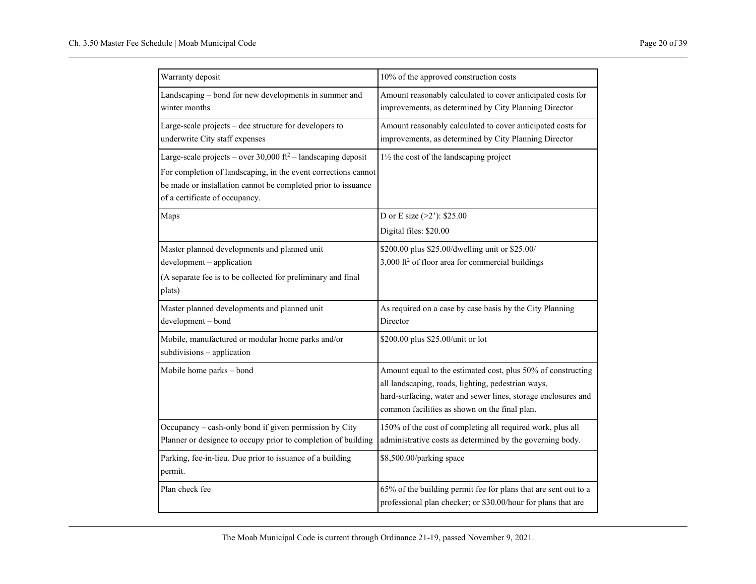| Warranty deposit                                                                                                                                                                                                                     | 10% of the approved construction costs                                                                                                                                                                                               |
|--------------------------------------------------------------------------------------------------------------------------------------------------------------------------------------------------------------------------------------|--------------------------------------------------------------------------------------------------------------------------------------------------------------------------------------------------------------------------------------|
| Landscaping - bond for new developments in summer and<br>winter months                                                                                                                                                               | Amount reasonably calculated to cover anticipated costs for<br>improvements, as determined by City Planning Director                                                                                                                 |
| Large-scale projects - dee structure for developers to<br>underwrite City staff expenses                                                                                                                                             | Amount reasonably calculated to cover anticipated costs for<br>improvements, as determined by City Planning Director                                                                                                                 |
| Large-scale projects – over 30,000 $ft^2$ – landscaping deposit<br>For completion of landscaping, in the event corrections cannot<br>be made or installation cannot be completed prior to issuance<br>of a certificate of occupancy. | 11/2 the cost of the landscaping project                                                                                                                                                                                             |
| Maps                                                                                                                                                                                                                                 | D or E size $(>2')$ : \$25.00<br>Digital files: \$20.00                                                                                                                                                                              |
| Master planned developments and planned unit<br>development - application<br>(A separate fee is to be collected for preliminary and final<br>plats)                                                                                  | \$200.00 plus \$25.00/dwelling unit or \$25.00/<br>3,000 ft <sup>2</sup> of floor area for commercial buildings                                                                                                                      |
| Master planned developments and planned unit<br>development - bond                                                                                                                                                                   | As required on a case by case basis by the City Planning<br>Director                                                                                                                                                                 |
| Mobile, manufactured or modular home parks and/or<br>subdivisions - application                                                                                                                                                      | \$200.00 plus \$25.00/unit or lot                                                                                                                                                                                                    |
| Mobile home parks - bond                                                                                                                                                                                                             | Amount equal to the estimated cost, plus 50% of constructing<br>all landscaping, roads, lighting, pedestrian ways,<br>hard-surfacing, water and sewer lines, storage enclosures and<br>common facilities as shown on the final plan. |
| Occupancy - cash-only bond if given permission by City<br>Planner or designee to occupy prior to completion of building                                                                                                              | 150% of the cost of completing all required work, plus all<br>administrative costs as determined by the governing body.                                                                                                              |
| Parking, fee-in-lieu. Due prior to issuance of a building<br>permit.                                                                                                                                                                 | \$8,500.00/parking space                                                                                                                                                                                                             |
| Plan check fee                                                                                                                                                                                                                       | 65% of the building permit fee for plans that are sent out to a<br>professional plan checker; or \$30.00/hour for plans that are                                                                                                     |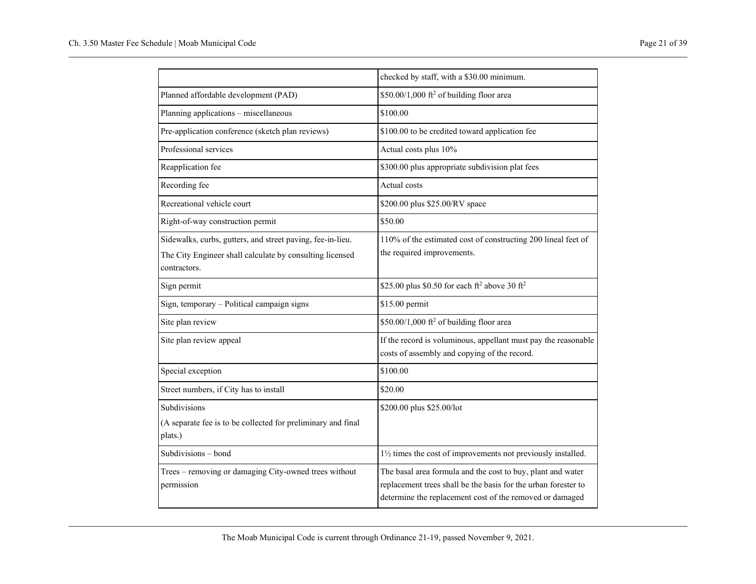|                                                                                                                                        | checked by staff, with a \$30.00 minimum.                                                                                                                                                 |  |
|----------------------------------------------------------------------------------------------------------------------------------------|-------------------------------------------------------------------------------------------------------------------------------------------------------------------------------------------|--|
| Planned affordable development (PAD)                                                                                                   | \$50.00/1,000 ft <sup>2</sup> of building floor area                                                                                                                                      |  |
| Planning applications - miscellaneous                                                                                                  | \$100.00                                                                                                                                                                                  |  |
| Pre-application conference (sketch plan reviews)                                                                                       | \$100.00 to be credited toward application fee                                                                                                                                            |  |
| Professional services                                                                                                                  | Actual costs plus 10%                                                                                                                                                                     |  |
| Reapplication fee                                                                                                                      | \$300.00 plus appropriate subdivision plat fees                                                                                                                                           |  |
| Recording fee                                                                                                                          | Actual costs                                                                                                                                                                              |  |
| Recreational vehicle court                                                                                                             | \$200.00 plus \$25.00/RV space                                                                                                                                                            |  |
| Right-of-way construction permit                                                                                                       | \$50.00                                                                                                                                                                                   |  |
| Sidewalks, curbs, gutters, and street paving, fee-in-lieu.<br>The City Engineer shall calculate by consulting licensed<br>contractors. | 110% of the estimated cost of constructing 200 lineal feet of<br>the required improvements.                                                                                               |  |
| Sign permit                                                                                                                            | \$25.00 plus \$0.50 for each $ft^2$ above 30 $ft^2$                                                                                                                                       |  |
| Sign, temporary - Political campaign signs                                                                                             | \$15.00 permit                                                                                                                                                                            |  |
| Site plan review                                                                                                                       | \$50.00/1,000 ft <sup>2</sup> of building floor area                                                                                                                                      |  |
| Site plan review appeal                                                                                                                | If the record is voluminous, appellant must pay the reasonable<br>costs of assembly and copying of the record.                                                                            |  |
| Special exception                                                                                                                      | \$100.00                                                                                                                                                                                  |  |
| Street numbers, if City has to install                                                                                                 | \$20.00                                                                                                                                                                                   |  |
| Subdivisions<br>(A separate fee is to be collected for preliminary and final<br>plats.)                                                | \$200.00 plus \$25.00/lot                                                                                                                                                                 |  |
| Subdivisions - bond                                                                                                                    | 11/2 times the cost of improvements not previously installed.                                                                                                                             |  |
| Trees - removing or damaging City-owned trees without<br>permission                                                                    | The basal area formula and the cost to buy, plant and water<br>replacement trees shall be the basis for the urban forester to<br>determine the replacement cost of the removed or damaged |  |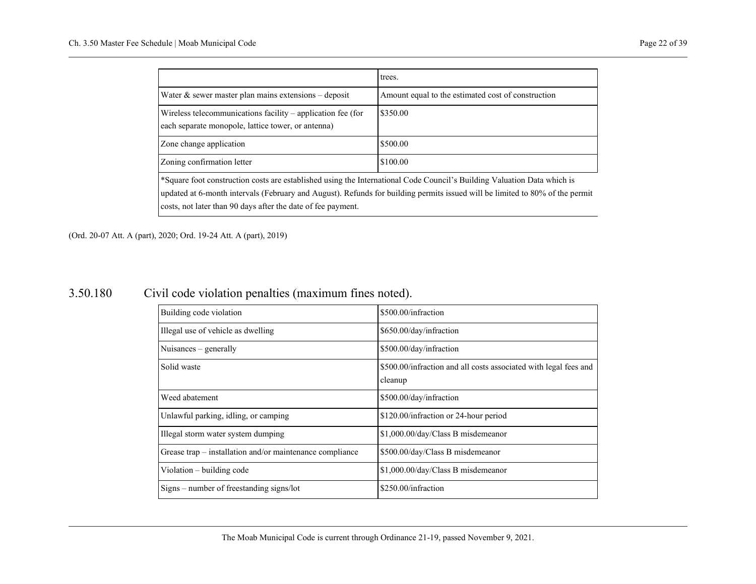|                                                                                                                                                                                                                                                                                                                                                                                                                                                                                                                                                                                                         | trees.                                             |
|---------------------------------------------------------------------------------------------------------------------------------------------------------------------------------------------------------------------------------------------------------------------------------------------------------------------------------------------------------------------------------------------------------------------------------------------------------------------------------------------------------------------------------------------------------------------------------------------------------|----------------------------------------------------|
| Water $\&$ sewer master plan mains extensions - deposit                                                                                                                                                                                                                                                                                                                                                                                                                                                                                                                                                 | Amount equal to the estimated cost of construction |
| Wireless telecommunications facility $-$ application fee (for<br>each separate monopole, lattice tower, or antenna)                                                                                                                                                                                                                                                                                                                                                                                                                                                                                     | \$350.00                                           |
| Zone change application                                                                                                                                                                                                                                                                                                                                                                                                                                                                                                                                                                                 | \$500.00                                           |
| Zoning confirmation letter                                                                                                                                                                                                                                                                                                                                                                                                                                                                                                                                                                              | \$100.00                                           |
| *Square foot construction costs are established using the International Code Council's Building Valuation Data which is<br>$\mathbf{1} \times \mathbf{1} \times \mathbf{2} = \mathbf{1} \times \mathbf{1} \times \mathbf{1} = \mathbf{1} \times \mathbf{1} = \mathbf{1} \times \mathbf{1} = \mathbf{1} \times \mathbf{1} = \mathbf{1} \times \mathbf{1} = \mathbf{1} \times \mathbf{1} = \mathbf{1} \times \mathbf{1} = \mathbf{1} \times \mathbf{1} = \mathbf{1} \times \mathbf{1} = \mathbf{1} \times \mathbf{1} = \mathbf{1} \times \mathbf{1} = \mathbf{1} \times \mathbf{1} = \mathbf{1} \times \$ |                                                    |

updated at 6-month intervals (February and August). Refunds for building permits issued will be limited to 80% of the permit costs, not later than 90 days after the date of fee payment.

<span id="page-23-0"></span>(Ord. 20-07 Att. A (part), 2020; Ord. 19-24 Att. A (part), 2019)

### 3.50.180 Civil code violation penalties (maximum fines noted).

| Building code violation                                  | \$500.00/infraction                                                         |
|----------------------------------------------------------|-----------------------------------------------------------------------------|
| Illegal use of vehicle as dwelling                       | \$650.00/day/infraction                                                     |
| Nuisances $-$ generally                                  | \$500.00/day/infraction                                                     |
| Solid waste                                              | \$500.00/infraction and all costs associated with legal fees and<br>cleanup |
| Weed abatement                                           | \$500.00/day/infraction                                                     |
| Unlawful parking, idling, or camping                     | \$120.00/infraction or 24-hour period                                       |
| Illegal storm water system dumping                       | \$1,000.00/day/Class B misdemeanor                                          |
| Grease trap – installation and/or maintenance compliance | \$500.00/day/Class B misdemeanor                                            |
| Violation – building code                                | \$1,000.00/day/Class B misdemeanor                                          |
| Signs – number of freestanding signs/lot                 | \$250.00/infraction                                                         |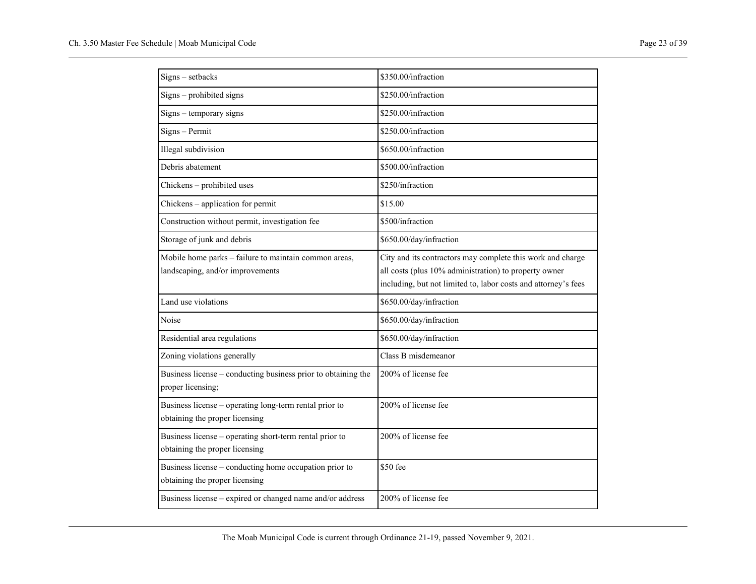| Signs - setbacks                                                                          | \$350.00/infraction                                                                                                                                                                   |  |
|-------------------------------------------------------------------------------------------|---------------------------------------------------------------------------------------------------------------------------------------------------------------------------------------|--|
| Signs - prohibited signs                                                                  | \$250.00/infraction                                                                                                                                                                   |  |
| Signs – temporary signs                                                                   | \$250.00/infraction                                                                                                                                                                   |  |
| Signs - Permit                                                                            | \$250.00/infraction                                                                                                                                                                   |  |
| Illegal subdivision                                                                       | \$650.00/infraction                                                                                                                                                                   |  |
| Debris abatement                                                                          | \$500.00/infraction                                                                                                                                                                   |  |
| Chickens - prohibited uses                                                                | \$250/infraction                                                                                                                                                                      |  |
| Chickens - application for permit                                                         | \$15.00                                                                                                                                                                               |  |
| Construction without permit, investigation fee                                            | \$500/infraction                                                                                                                                                                      |  |
| Storage of junk and debris                                                                | \$650.00/day/infraction                                                                                                                                                               |  |
| Mobile home parks - failure to maintain common areas,<br>landscaping, and/or improvements | City and its contractors may complete this work and charge<br>all costs (plus 10% administration) to property owner<br>including, but not limited to, labor costs and attorney's fees |  |
| Land use violations                                                                       | \$650.00/day/infraction                                                                                                                                                               |  |
| Noise                                                                                     | \$650.00/day/infraction                                                                                                                                                               |  |
| Residential area regulations                                                              | \$650.00/day/infraction                                                                                                                                                               |  |
| Zoning violations generally                                                               | Class B misdemeanor                                                                                                                                                                   |  |
| Business license - conducting business prior to obtaining the<br>proper licensing;        | 200% of license fee                                                                                                                                                                   |  |
| Business license - operating long-term rental prior to<br>obtaining the proper licensing  | 200% of license fee                                                                                                                                                                   |  |
| Business license – operating short-term rental prior to<br>obtaining the proper licensing | 200% of license fee                                                                                                                                                                   |  |
| Business license - conducting home occupation prior to<br>obtaining the proper licensing  | \$50 fee                                                                                                                                                                              |  |
| Business license - expired or changed name and/or address                                 | 200% of license fee                                                                                                                                                                   |  |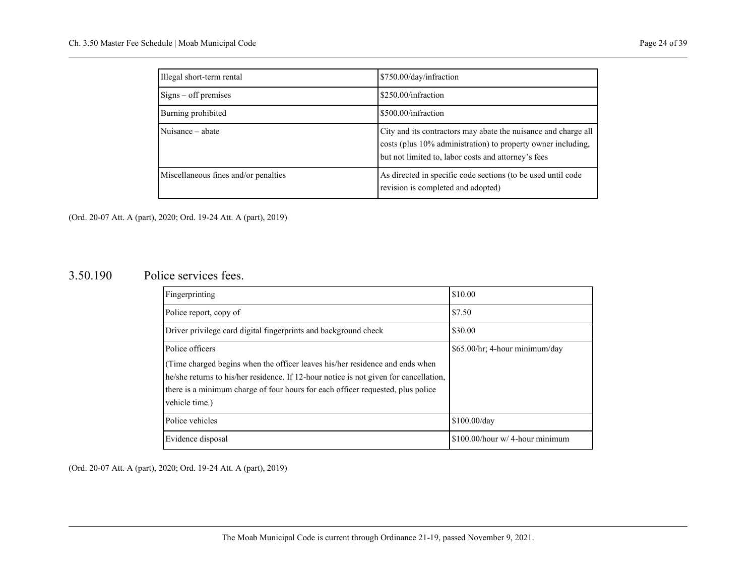| Illegal short-term rental            | \$750.00/day/infraction                                                                                                                                                               |
|--------------------------------------|---------------------------------------------------------------------------------------------------------------------------------------------------------------------------------------|
| $Sigma - off$ premises               | \$250.00/infraction                                                                                                                                                                   |
| Burning prohibited                   | \$500.00/infraction                                                                                                                                                                   |
| Nuisance – abate                     | City and its contractors may abate the nuisance and charge all<br>costs (plus 10% administration) to property owner including,<br>but not limited to, labor costs and attorney's fees |
| Miscellaneous fines and/or penalties | As directed in specific code sections (to be used until code<br>revision is completed and adopted)                                                                                    |

#### <span id="page-25-0"></span>3.50.190 Police services fees.

| Fingerprinting                                                                                                                                                                                                                                                             | \$10.00                         |
|----------------------------------------------------------------------------------------------------------------------------------------------------------------------------------------------------------------------------------------------------------------------------|---------------------------------|
| Police report, copy of                                                                                                                                                                                                                                                     | \$7.50                          |
| Driver privilege card digital fingerprints and background check                                                                                                                                                                                                            | \$30.00                         |
| Police officers                                                                                                                                                                                                                                                            | \$65.00/hr; 4-hour minimum/day  |
| (Time charged begins when the officer leaves his/her residence and ends when<br>he/she returns to his/her residence. If 12-hour notice is not given for cancellation,<br>there is a minimum charge of four hours for each officer requested, plus police<br>vehicle time.) |                                 |
| Police vehicles                                                                                                                                                                                                                                                            | $$100.00$ /dav                  |
| Evidence disposal                                                                                                                                                                                                                                                          | \$100.00/hour w/ 4-hour minimum |

(Ord. 20-07 Att. A (part), 2020; Ord. 19-24 Att. A (part), 2019)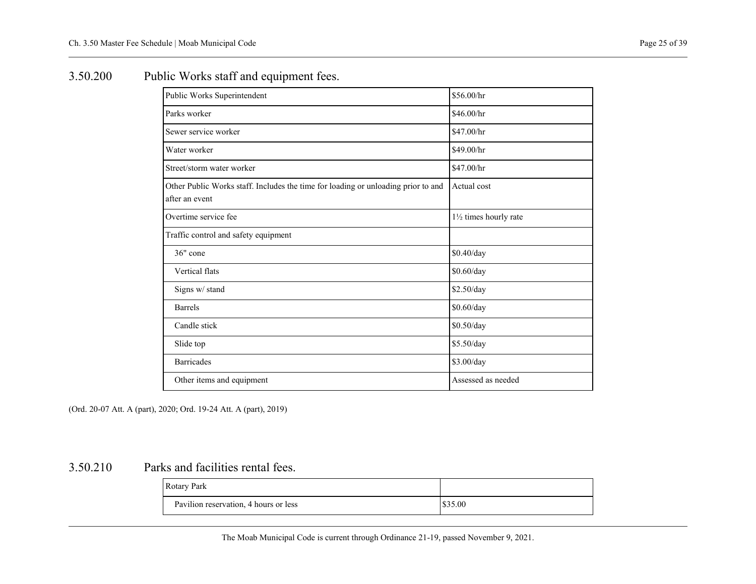# <span id="page-26-0"></span>3.50.200 Public Works staff and equipment fees.

| Public Works Superintendent                                                                         | \$56.00/hr             |
|-----------------------------------------------------------------------------------------------------|------------------------|
| Parks worker                                                                                        | \$46.00/hr             |
| Sewer service worker                                                                                | \$47.00/hr             |
| Water worker                                                                                        | \$49.00/hr             |
| Street/storm water worker                                                                           | \$47.00/hr             |
| Other Public Works staff. Includes the time for loading or unloading prior to and<br>after an event | Actual cost            |
| Overtime service fee                                                                                | 11/2 times hourly rate |
| Traffic control and safety equipment                                                                |                        |
| 36" cone                                                                                            | \$0.40/day             |
| Vertical flats                                                                                      | \$0.60/day             |
| Signs w/ stand                                                                                      | \$2.50/day             |
| <b>Barrels</b>                                                                                      | \$0.60/day             |
| Candle stick                                                                                        | \$0.50/day             |
| Slide top                                                                                           | \$5.50/day             |
| <b>Barricades</b>                                                                                   | \$3.00/day             |
| Other items and equipment                                                                           | Assessed as needed     |

<span id="page-26-1"></span>(Ord. 20-07 Att. A (part), 2020; Ord. 19-24 Att. A (part), 2019)

### 3.50.210 Parks and facilities rental fees.

| <b>Rotary Park</b>                    |         |
|---------------------------------------|---------|
| Pavilion reservation, 4 hours or less | \$35.00 |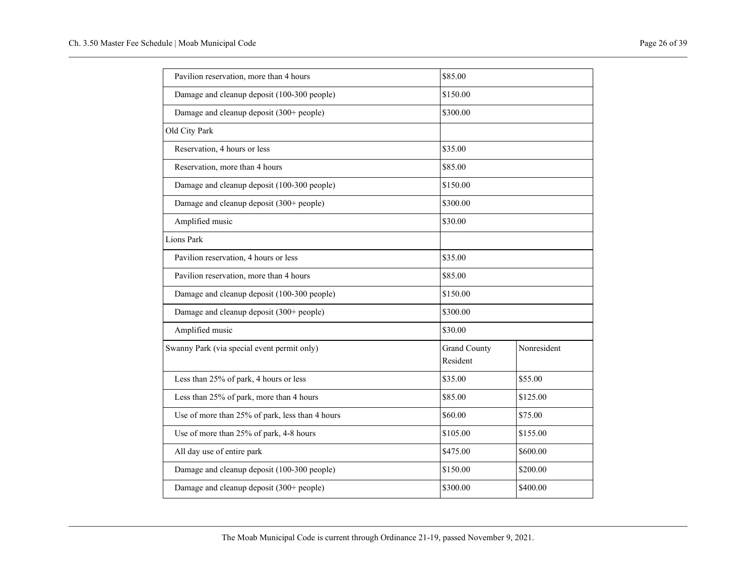| Pavilion reservation, more than 4 hours         | \$85.00             |             |
|-------------------------------------------------|---------------------|-------------|
| Damage and cleanup deposit (100-300 people)     | \$150.00            |             |
| Damage and cleanup deposit (300+ people)        | \$300.00            |             |
| Old City Park                                   |                     |             |
| Reservation, 4 hours or less                    | \$35.00             |             |
| Reservation, more than 4 hours                  | \$85.00             |             |
| Damage and cleanup deposit (100-300 people)     | \$150.00            |             |
| Damage and cleanup deposit (300+ people)        | \$300.00            |             |
| Amplified music                                 | \$30.00             |             |
| <b>Lions Park</b>                               |                     |             |
| Pavilion reservation, 4 hours or less           | \$35.00             |             |
| Pavilion reservation, more than 4 hours         | \$85.00             |             |
| Damage and cleanup deposit (100-300 people)     | \$150.00            |             |
| Damage and cleanup deposit (300+ people)        | \$300.00            |             |
| Amplified music                                 | \$30.00             |             |
| Swanny Park (via special event permit only)     | <b>Grand County</b> | Nonresident |
|                                                 | Resident            |             |
| Less than 25% of park, 4 hours or less          | \$35.00             | \$55.00     |
| Less than 25% of park, more than 4 hours        | \$85.00             | \$125.00    |
| Use of more than 25% of park, less than 4 hours | \$60.00             | \$75.00     |
| Use of more than 25% of park, 4-8 hours         | \$105.00            | \$155.00    |
| All day use of entire park                      | \$475.00            | \$600.00    |
| Damage and cleanup deposit (100-300 people)     | \$150.00            | \$200.00    |
| Damage and cleanup deposit (300+ people)        | \$300.00            | \$400.00    |
|                                                 |                     |             |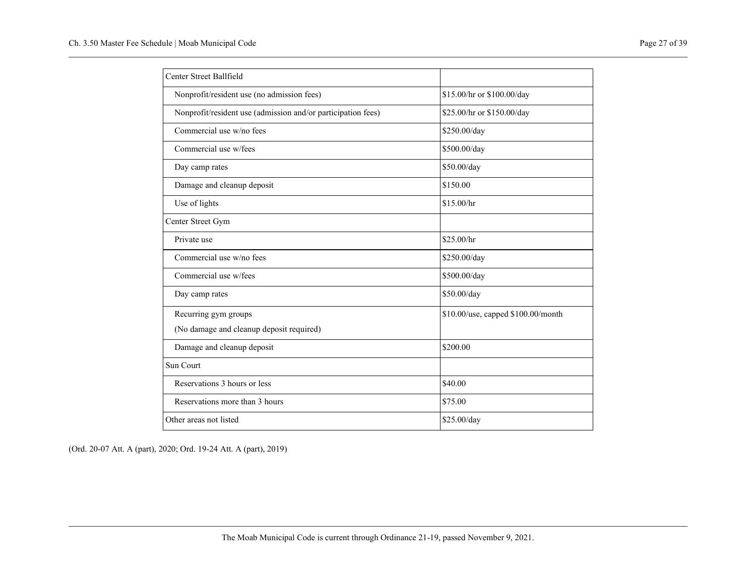| Center Street Ballfield                                      |                                    |
|--------------------------------------------------------------|------------------------------------|
| Nonprofit/resident use (no admission fees)                   | \$15.00/hr or \$100.00/day         |
| Nonprofit/resident use (admission and/or participation fees) | \$25.00/hr or \$150.00/day         |
| Commercial use w/no fees                                     | \$250.00/day                       |
| Commercial use w/fees                                        | \$500.00/day                       |
| Day camp rates                                               | \$50.00/day                        |
| Damage and cleanup deposit                                   | \$150.00                           |
| Use of lights                                                | \$15.00/hr                         |
| Center Street Gym                                            |                                    |
| Private use                                                  | \$25.00/hr                         |
| Commercial use w/no fees                                     | \$250.00/day                       |
| Commercial use w/fees                                        | \$500.00/day                       |
| Day camp rates                                               | \$50.00/day                        |
| Recurring gym groups                                         | \$10.00/use, capped \$100.00/month |
| (No damage and cleanup deposit required)                     |                                    |
| Damage and cleanup deposit                                   | \$200.00                           |
| Sun Court                                                    |                                    |
| Reservations 3 hours or less                                 | \$40.00                            |
| Reservations more than 3 hours                               | \$75.00                            |
| Other areas not listed                                       | \$25.00/day                        |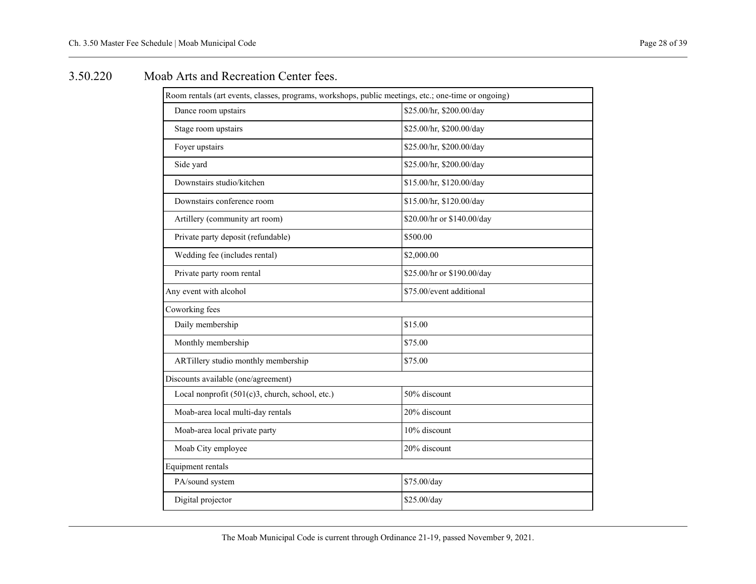### <span id="page-29-0"></span>3.50.220 Moab Arts and Recreation Center fees.

| Room rentals (art events, classes, programs, workshops, public meetings, etc.; one-time or ongoing) |                            |
|-----------------------------------------------------------------------------------------------------|----------------------------|
| Dance room upstairs                                                                                 | \$25.00/hr, \$200.00/day   |
| Stage room upstairs                                                                                 | \$25.00/hr, \$200.00/day   |
| Foyer upstairs                                                                                      | \$25.00/hr, \$200.00/day   |
| Side yard                                                                                           | \$25.00/hr, \$200.00/day   |
| Downstairs studio/kitchen                                                                           | \$15.00/hr, \$120.00/day   |
| Downstairs conference room                                                                          | \$15.00/hr, \$120.00/day   |
| Artillery (community art room)                                                                      | \$20.00/hr or \$140.00/day |
| Private party deposit (refundable)                                                                  | \$500.00                   |
| Wedding fee (includes rental)                                                                       | \$2,000.00                 |
| Private party room rental                                                                           | \$25.00/hr or \$190.00/day |
| Any event with alcohol                                                                              | \$75.00/event additional   |
| Coworking fees                                                                                      |                            |
| Daily membership                                                                                    | \$15.00                    |
| Monthly membership                                                                                  | \$75.00                    |
| ARTillery studio monthly membership                                                                 | \$75.00                    |
| Discounts available (one/agreement)                                                                 |                            |
| Local nonprofit (501(c)3, church, school, etc.)                                                     | 50% discount               |
| Moab-area local multi-day rentals                                                                   | 20% discount               |
| Moab-area local private party                                                                       | 10% discount               |
| Moab City employee                                                                                  | 20% discount               |
| Equipment rentals                                                                                   |                            |
| PA/sound system                                                                                     | \$75.00/day                |
| Digital projector                                                                                   | \$25.00/day                |
|                                                                                                     |                            |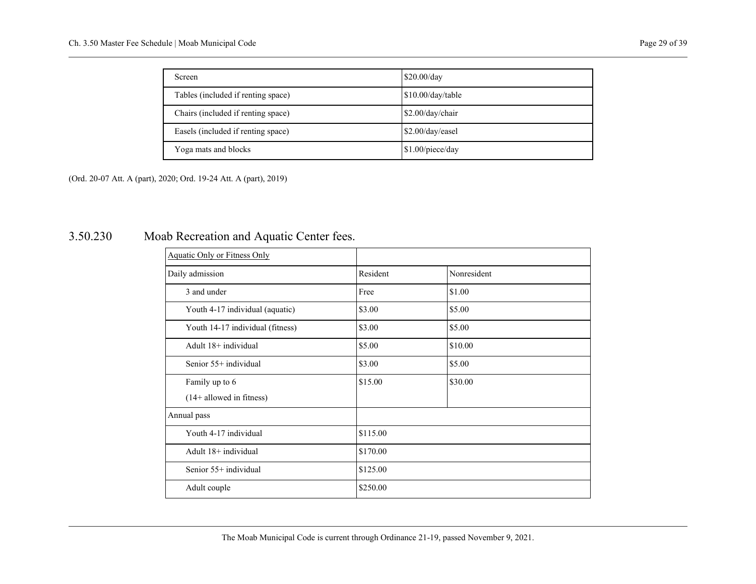| <b>Screen</b>                      | \$20.00/day         |
|------------------------------------|---------------------|
| Tables (included if renting space) | $$10.00$ /day/table |
| Chairs (included if renting space) | $$2.00$ /day/chair  |
| Easels (included if renting space) | \$2.00/day/easel    |
| Yoga mats and blocks               | \$1.00/piece/day    |

## <span id="page-30-0"></span>3.50.230 Moab Recreation and Aquatic Center fees.

| <b>Aquatic Only or Fitness Only</b> |          |             |
|-------------------------------------|----------|-------------|
| Daily admission                     | Resident | Nonresident |
| 3 and under                         | Free     | \$1.00      |
| Youth 4-17 individual (aquatic)     | \$3.00   | \$5.00      |
| Youth 14-17 individual (fitness)    | \$3.00   | \$5.00      |
| Adult 18+ individual                | \$5.00   | \$10.00     |
| Senior 55+ individual               | \$3.00   | \$5.00      |
| Family up to 6                      | \$15.00  | \$30.00     |
| $(14+$ allowed in fitness)          |          |             |
| Annual pass                         |          |             |
| Youth 4-17 individual               | \$115.00 |             |
| Adult 18+ individual                | \$170.00 |             |
| Senior 55+ individual               | \$125.00 |             |
| Adult couple                        | \$250.00 |             |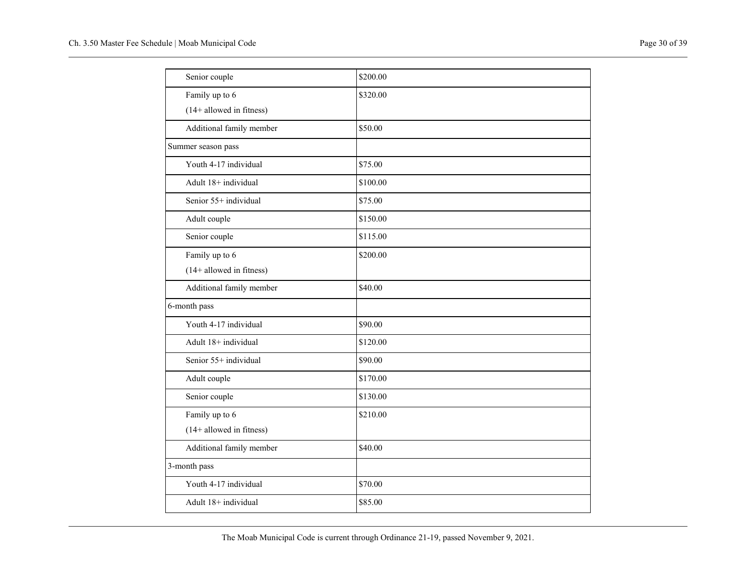| Senior couple                      | \$200.00 |
|------------------------------------|----------|
| Family up to 6                     | \$320.00 |
| $(14 + \text{allowed in fitness})$ |          |
| Additional family member           | \$50.00  |
| Summer season pass                 |          |
| Youth 4-17 individual              | \$75.00  |
| Adult 18+ individual               | \$100.00 |
| Senior 55+ individual              | \$75.00  |
| Adult couple                       | \$150.00 |
| Senior couple                      | \$115.00 |
| Family up to 6                     | \$200.00 |
| $(14 +$ allowed in fitness)        |          |
| Additional family member           | \$40.00  |
| 6-month pass                       |          |
| Youth 4-17 individual              | \$90.00  |
| Adult 18+ individual               | \$120.00 |
| Senior 55+ individual              | \$90.00  |
| Adult couple                       | \$170.00 |
| Senior couple                      | \$130.00 |
| Family up to 6                     | \$210.00 |
| $(14 + \text{allowed in fitness})$ |          |
| Additional family member           | \$40.00  |
| 3-month pass                       |          |
| Youth 4-17 individual              | \$70.00  |
| Adult 18+ individual               | \$85.00  |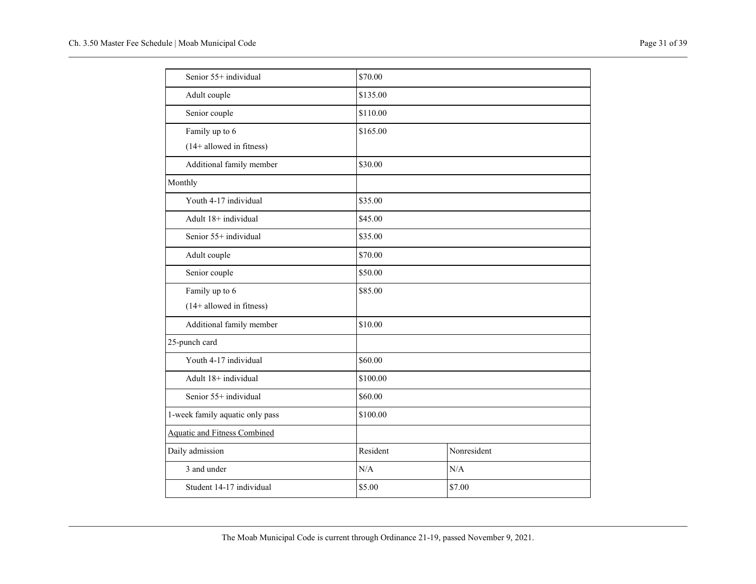|  | Page 31 of 39 |
|--|---------------|
|  |               |

| Senior 55+ individual               | \$70.00  |             |
|-------------------------------------|----------|-------------|
| Adult couple                        | \$135.00 |             |
| Senior couple                       | \$110.00 |             |
| Family up to 6                      | \$165.00 |             |
| $(14 + \text{allowed in fitness})$  |          |             |
| Additional family member            | \$30.00  |             |
| Monthly                             |          |             |
| Youth 4-17 individual               | \$35.00  |             |
| Adult 18+ individual                | \$45.00  |             |
| Senior 55+ individual               | \$35.00  |             |
| Adult couple                        | \$70.00  |             |
| Senior couple                       | \$50.00  |             |
| Family up to 6                      | \$85.00  |             |
| $(14 + \text{allowed in fitness})$  |          |             |
| Additional family member            | \$10.00  |             |
| 25-punch card                       |          |             |
| Youth 4-17 individual               | \$60.00  |             |
| Adult 18+ individual                | \$100.00 |             |
| Senior 55+ individual               | \$60.00  |             |
| 1-week family aquatic only pass     | \$100.00 |             |
| <b>Aquatic and Fitness Combined</b> |          |             |
| Daily admission                     | Resident | Nonresident |
| 3 and under                         | N/A      | N/A         |
| Student 14-17 individual            | \$5.00   | \$7.00      |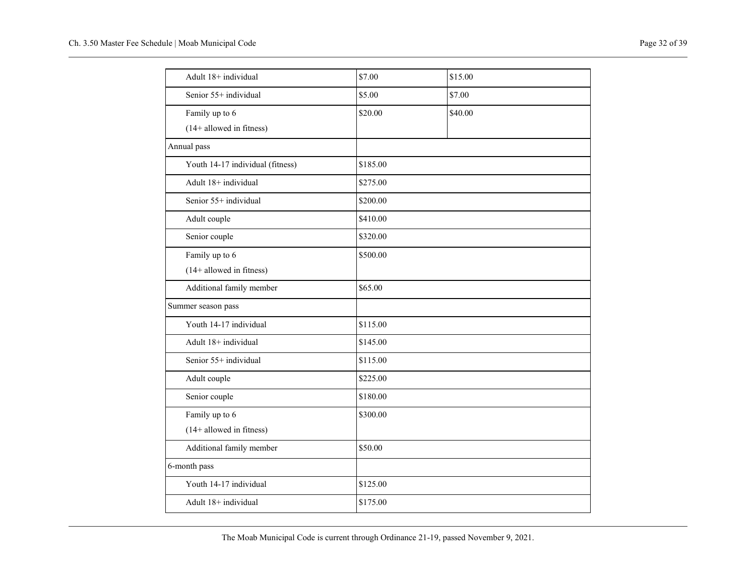| Adult 18+ individual               | \$7.00   | \$15.00 |  |
|------------------------------------|----------|---------|--|
| Senior 55+ individual              | \$5.00   | \$7.00  |  |
| Family up to 6                     | \$20.00  | \$40.00 |  |
| $(14 +$ allowed in fitness)        |          |         |  |
| Annual pass                        |          |         |  |
| Youth 14-17 individual (fitness)   | \$185.00 |         |  |
| Adult 18+ individual               | \$275.00 |         |  |
| Senior 55+ individual              | \$200.00 |         |  |
| Adult couple                       | \$410.00 |         |  |
| Senior couple                      | \$320.00 |         |  |
| Family up to 6                     | \$500.00 |         |  |
| $(14 +$ allowed in fitness)        |          |         |  |
| Additional family member           | \$65.00  |         |  |
| Summer season pass                 |          |         |  |
| Youth 14-17 individual             | \$115.00 |         |  |
| Adult 18+ individual               | \$145.00 |         |  |
| Senior 55+ individual              | \$115.00 |         |  |
| Adult couple                       | \$225.00 |         |  |
| Senior couple                      | \$180.00 |         |  |
| Family up to 6                     | \$300.00 |         |  |
| $(14 + \text{allowed in fitness})$ |          |         |  |
| Additional family member           | \$50.00  |         |  |
| 6-month pass                       |          |         |  |
| Youth 14-17 individual             | \$125.00 |         |  |
| Adult 18+ individual               | \$175.00 |         |  |
|                                    |          |         |  |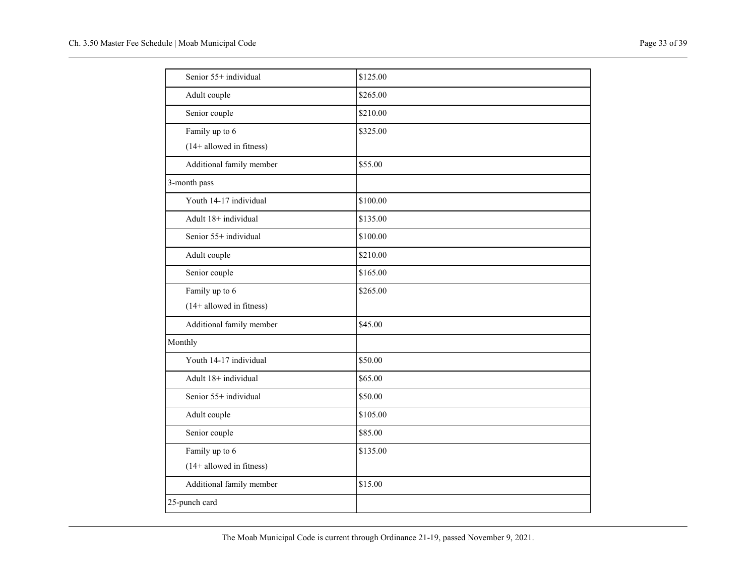| Senior 55+ individual              | \$125.00 |
|------------------------------------|----------|
| Adult couple                       | \$265.00 |
| Senior couple                      | \$210.00 |
| Family up to 6                     | \$325.00 |
| $(14 + \text{allowed in fitness})$ |          |
| Additional family member           | \$55.00  |
| 3-month pass                       |          |
| Youth 14-17 individual             | \$100.00 |
| Adult 18+ individual               | \$135.00 |
| Senior 55+ individual              | \$100.00 |
| Adult couple                       | \$210.00 |
| Senior couple                      | \$165.00 |
| Family up to 6                     | \$265.00 |
| $(14 + \text{allowed in fitness})$ |          |
| Additional family member           | \$45.00  |
| Monthly                            |          |
| Youth 14-17 individual             | \$50.00  |
| Adult 18+ individual               | \$65.00  |
| Senior 55+ individual              | \$50.00  |
| Adult couple                       | \$105.00 |
| Senior couple                      | \$85.00  |
| Family up to 6                     | \$135.00 |
| (14+ allowed in fitness)           |          |
| Additional family member           | \$15.00  |
| 25-punch card                      |          |
|                                    |          |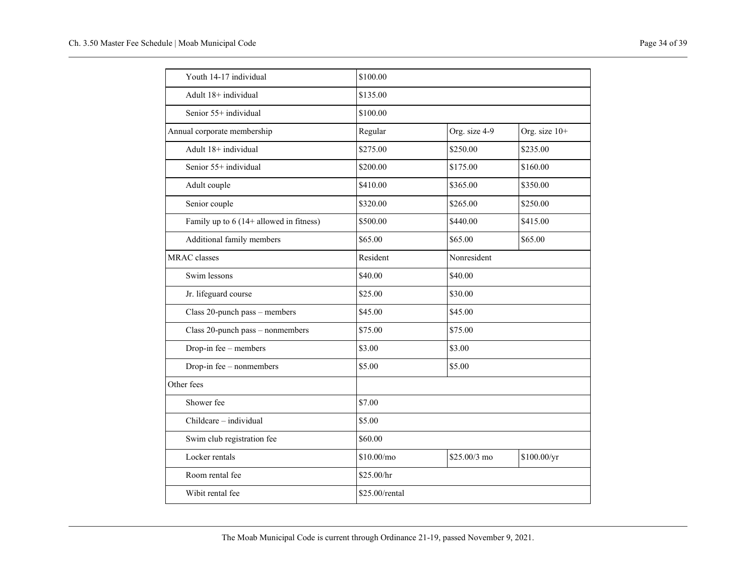| Youth 14-17 individual                    | \$100.00       |               |               |
|-------------------------------------------|----------------|---------------|---------------|
| Adult 18+ individual                      | \$135.00       |               |               |
| Senior 55+ individual                     | \$100.00       |               |               |
| Annual corporate membership               | Regular        | Org. size 4-9 | Org. size 10+ |
| Adult 18+ individual                      | \$275.00       | \$250.00      | \$235.00      |
| Senior 55+ individual                     | \$200.00       | \$175.00      | \$160.00      |
| Adult couple                              | \$410.00       | \$365.00      | \$350.00      |
| Senior couple                             | \$320.00       | \$265.00      | \$250.00      |
| Family up to $6(14 +$ allowed in fitness) | \$500.00       | \$440.00      | \$415.00      |
| Additional family members                 | \$65.00        | \$65.00       | \$65.00       |
| <b>MRAC</b> classes                       | Resident       | Nonresident   |               |
| Swim lessons                              | \$40.00        | \$40.00       |               |
| Jr. lifeguard course                      | \$25.00        | \$30.00       |               |
| Class 20-punch pass - members             | \$45.00        | \$45.00       |               |
| Class 20-punch pass - nonmembers          | \$75.00        | \$75.00       |               |
| Drop-in fee - members                     | \$3.00         | \$3.00        |               |
| Drop-in fee - nonmembers                  | \$5.00         | \$5.00        |               |
| Other fees                                |                |               |               |
| Shower fee                                | \$7.00         |               |               |
| Childcare - individual                    | \$5.00         |               |               |
| Swim club registration fee                | \$60.00        |               |               |
| Locker rentals                            | \$10.00/mo     | \$25.00/3 mo  | \$100.00/yr   |
| Room rental fee                           | \$25.00/hr     |               |               |
| Wibit rental fee                          | \$25.00/rental |               |               |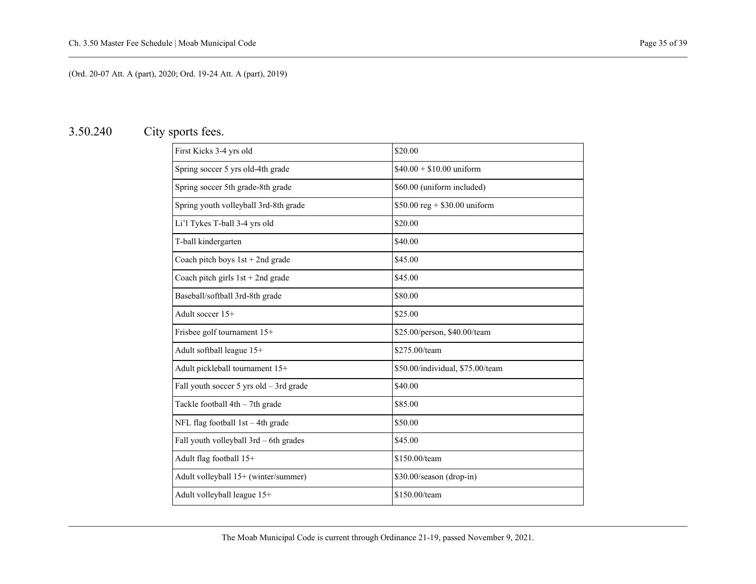## <span id="page-36-0"></span>3.50.240 City sports fees.

| First Kicks 3-4 yrs old                 | \$20.00                          |
|-----------------------------------------|----------------------------------|
| Spring soccer 5 yrs old-4th grade       | $$40.00 + $10.00$ uniform        |
| Spring soccer 5th grade-8th grade       | \$60.00 (uniform included)       |
| Spring youth volleyball 3rd-8th grade   | \$50.00 reg + \$30.00 uniform    |
| Li'l Tykes T-ball 3-4 yrs old           | \$20.00                          |
| T-ball kindergarten                     | \$40.00                          |
| Coach pitch boys $1st + 2nd$ grade      | \$45.00                          |
| Coach pitch girls $1st + 2nd$ grade     | \$45.00                          |
| Baseball/softball 3rd-8th grade         | \$80.00                          |
| Adult soccer 15+                        | \$25.00                          |
| Frisbee golf tournament 15+             | \$25.00/person, \$40.00/team     |
| Adult softball league 15+               | \$275.00/team                    |
| Adult pickleball tournament 15+         | \$50.00/individual, \$75.00/team |
| Fall youth soccer 5 yrs old - 3rd grade | \$40.00                          |
| Tackle football 4th - 7th grade         | \$85.00                          |
| NFL flag football 1st - 4th grade       | \$50.00                          |
| Fall youth volleyball 3rd - 6th grades  | \$45.00                          |
| Adult flag football 15+                 | \$150.00/team                    |
| Adult volleyball 15+ (winter/summer)    | \$30.00/season (drop-in)         |
| Adult volleyball league 15+             | \$150.00/team                    |
|                                         |                                  |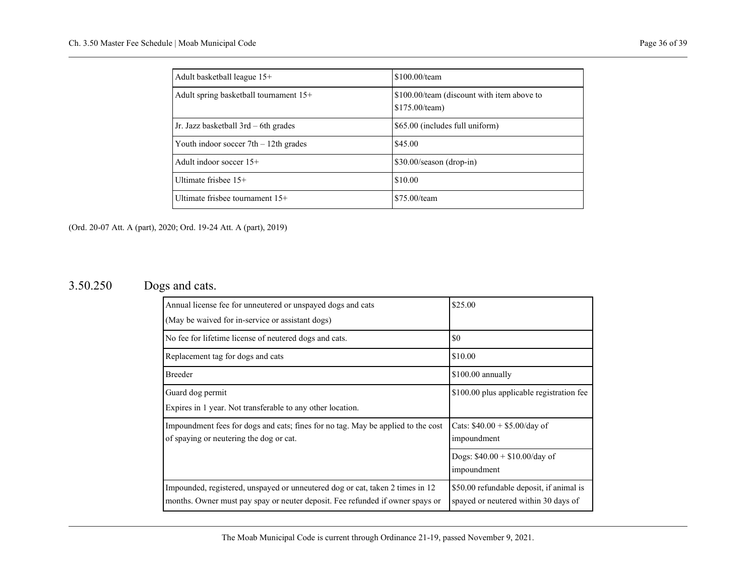| Adult basketball league 15+              | \$100.00/team                                                |
|------------------------------------------|--------------------------------------------------------------|
| Adult spring basketball tournament $15+$ | \$100.00/team (discount with item above to<br>\$175.00/team) |
| Jr. Jazz basketball $3rd - 6th$ grades   | \$65.00 (includes full uniform)                              |
| Youth indoor soccer $7th - 12th$ grades  | \$45.00                                                      |
| Adult indoor soccer $15+$                | $$30.00/\text{season (drop-in)}$                             |
| Ultimate frishee $15+$                   | \$10.00                                                      |
| Ultimate frisbee tournament 15+          | \$75.00/team                                                 |

## <span id="page-37-0"></span>3.50.250 Dogs and cats.

| \$25.00                                   |
|-------------------------------------------|
|                                           |
| \$0                                       |
| \$10.00                                   |
| \$100.00 annually                         |
| \$100.00 plus applicable registration fee |
|                                           |
| Cats: $$40.00 + $5.00/day of$             |
| impoundment                               |
| Dogs: $$40.00 + $10.00/day$ of            |
| impoundment                               |
| \$50.00 refundable deposit, if animal is  |
| spayed or neutered within 30 days of      |
|                                           |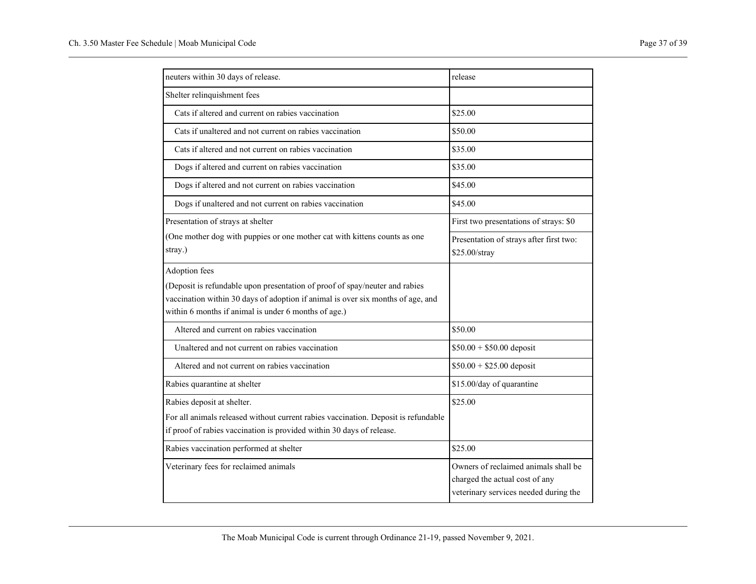| neuters within 30 days of release.                                                   | release                                                                                                         |
|--------------------------------------------------------------------------------------|-----------------------------------------------------------------------------------------------------------------|
| Shelter relinquishment fees                                                          |                                                                                                                 |
| Cats if altered and current on rabies vaccination                                    | \$25.00                                                                                                         |
| Cats if unaltered and not current on rabies vaccination                              | \$50.00                                                                                                         |
| Cats if altered and not current on rabies vaccination                                | \$35.00                                                                                                         |
| Dogs if altered and current on rabies vaccination                                    | \$35.00                                                                                                         |
| Dogs if altered and not current on rabies vaccination                                | \$45.00                                                                                                         |
| Dogs if unaltered and not current on rabies vaccination                              | \$45.00                                                                                                         |
| Presentation of strays at shelter                                                    | First two presentations of strays: \$0                                                                          |
| (One mother dog with puppies or one mother cat with kittens counts as one<br>stray.) | Presentation of strays after first two:<br>\$25.00/stray                                                        |
| Adoption fees                                                                        |                                                                                                                 |
| (Deposit is refundable upon presentation of proof of spay/neuter and rabies          |                                                                                                                 |
| vaccination within 30 days of adoption if animal is over six months of age, and      |                                                                                                                 |
| within 6 months if animal is under 6 months of age.)                                 |                                                                                                                 |
| Altered and current on rabies vaccination                                            | \$50.00                                                                                                         |
| Unaltered and not current on rabies vaccination                                      | $$50.00 + $50.00$ deposit                                                                                       |
| Altered and not current on rabies vaccination                                        | $$50.00 + $25.00$ deposit                                                                                       |
| Rabies quarantine at shelter                                                         | \$15.00/day of quarantine                                                                                       |
| Rabies deposit at shelter.                                                           | \$25.00                                                                                                         |
| For all animals released without current rabies vaccination. Deposit is refundable   |                                                                                                                 |
| if proof of rabies vaccination is provided within 30 days of release.                |                                                                                                                 |
| Rabies vaccination performed at shelter                                              | \$25.00                                                                                                         |
| Veterinary fees for reclaimed animals                                                | Owners of reclaimed animals shall be<br>charged the actual cost of any<br>veterinary services needed during the |
|                                                                                      |                                                                                                                 |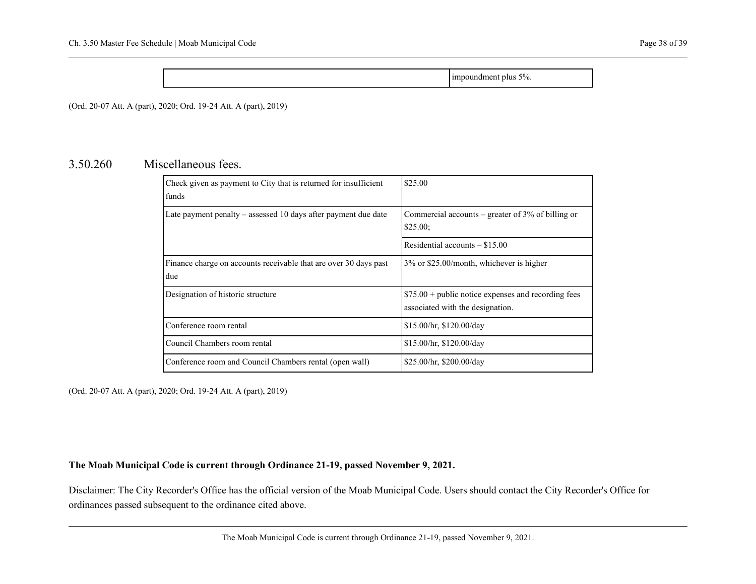impoundment plus 5%.

<span id="page-39-0"></span>(Ord. 20-07 Att. A (part), 2020; Ord. 19-24 Att. A (part), 2019)

#### 3.50.260 Miscellaneous fees.

| Check given as payment to City that is returned for insufficient<br>funds | \$25.00                                                                                  |
|---------------------------------------------------------------------------|------------------------------------------------------------------------------------------|
| Late payment penalty $-$ assessed 10 days after payment due date          | Commercial accounts – greater of $3\%$ of billing or<br>\$25.00;                         |
|                                                                           | Residential accounts $-$ \$15.00                                                         |
| Finance charge on accounts receivable that are over 30 days past<br>due   | 3% or \$25.00/month, whichever is higher                                                 |
| Designation of historic structure                                         | $$75.00 + public notice expenses and recording fees$<br>associated with the designation. |
| Conference room rental                                                    | \$15.00/hr, \$120.00/day                                                                 |
| Council Chambers room rental                                              | \$15.00/hr, \$120.00/day                                                                 |
| Conference room and Council Chambers rental (open wall)                   | \$25.00/hr, \$200.00/day                                                                 |

(Ord. 20-07 Att. A (part), 2020; Ord. 19-24 Att. A (part), 2019)

#### **The Moab Municipal Code is current through Ordinance 21-19, passed November 9, 2021.**

Disclaimer: The City Recorder's Office has the official version of the Moab Municipal Code. Users should contact the City Recorder's Office for ordinances passed subsequent to the ordinance cited above.